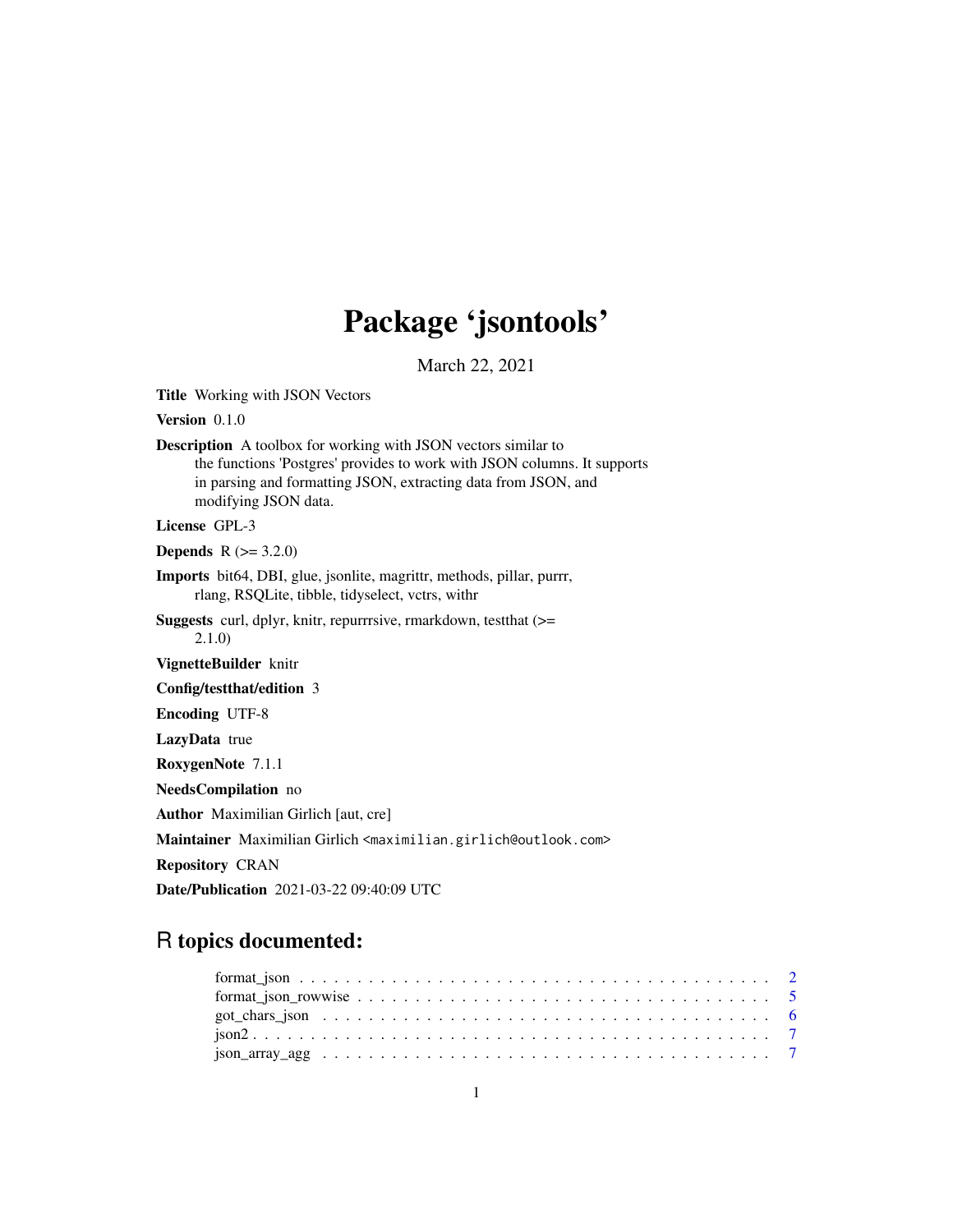# Package 'jsontools'

March 22, 2021

<span id="page-0-0"></span>Title Working with JSON Vectors

Version 0.1.0

Description A toolbox for working with JSON vectors similar to the functions 'Postgres' provides to work with JSON columns. It supports in parsing and formatting JSON, extracting data from JSON, and modifying JSON data.

License GPL-3

**Depends** R  $(>= 3.2.0)$ 

Imports bit64, DBI, glue, jsonlite, magrittr, methods, pillar, purrr, rlang, RSQLite, tibble, tidyselect, vctrs, withr

Suggests curl, dplyr, knitr, repurrrsive, rmarkdown, testthat (>= 2.1.0)

VignetteBuilder knitr

Config/testthat/edition 3

Encoding UTF-8

LazyData true

RoxygenNote 7.1.1

NeedsCompilation no

Author Maximilian Girlich [aut, cre]

Maintainer Maximilian Girlich <maximilian.girlich@outlook.com>

Repository CRAN

Date/Publication 2021-03-22 09:40:09 UTC

# R topics documented: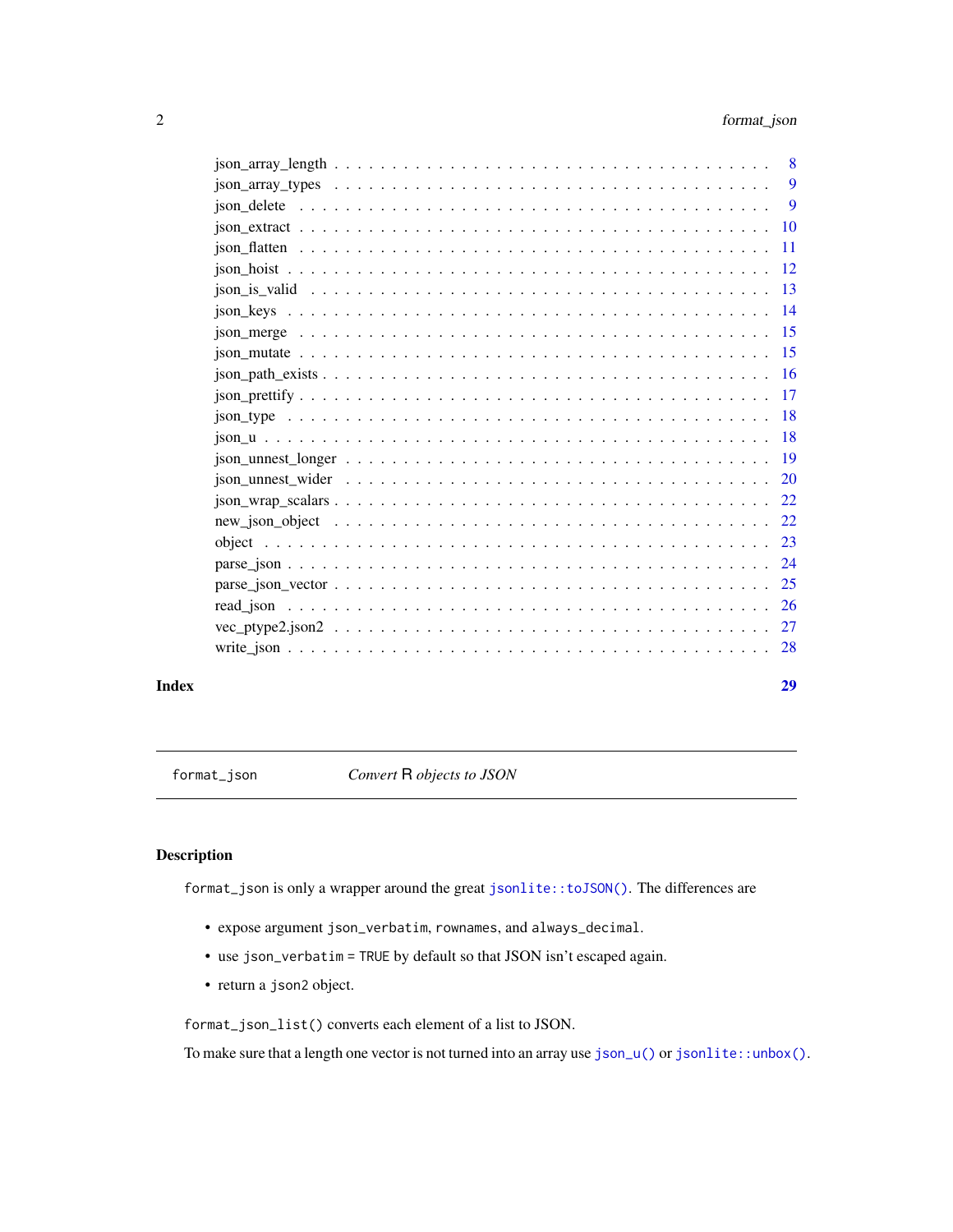<span id="page-1-0"></span>

|                                                                                                                                                                                                                                                                                                            | 8   |
|------------------------------------------------------------------------------------------------------------------------------------------------------------------------------------------------------------------------------------------------------------------------------------------------------------|-----|
| $\frac{1}{10}$ $\frac{1}{100}$ $\frac{1}{100}$ $\frac{1}{100}$ $\frac{1}{100}$ $\frac{1}{100}$ $\frac{1}{100}$ $\frac{1}{100}$ $\frac{1}{100}$ $\frac{1}{100}$ $\frac{1}{100}$ $\frac{1}{100}$ $\frac{1}{100}$ $\frac{1}{100}$ $\frac{1}{100}$ $\frac{1}{100}$ $\frac{1}{100}$ $\frac{1}{100}$ $\frac{1}{$ | 9   |
|                                                                                                                                                                                                                                                                                                            | 9   |
|                                                                                                                                                                                                                                                                                                            | 10  |
|                                                                                                                                                                                                                                                                                                            | 11  |
|                                                                                                                                                                                                                                                                                                            | 12  |
|                                                                                                                                                                                                                                                                                                            | 13  |
| $\frac{1}{10}$ $\frac{1}{100}$ $\frac{1}{100}$ $\frac{1}{100}$ $\frac{1}{100}$ $\frac{1}{100}$ $\frac{1}{100}$ $\frac{1}{100}$ $\frac{1}{100}$ $\frac{1}{100}$ $\frac{1}{100}$ $\frac{1}{100}$ $\frac{1}{100}$ $\frac{1}{100}$ $\frac{1}{100}$ $\frac{1}{100}$ $\frac{1}{100}$ $\frac{1}{100}$ $\frac{1}{$ | -14 |
|                                                                                                                                                                                                                                                                                                            | 15  |
|                                                                                                                                                                                                                                                                                                            | -15 |
|                                                                                                                                                                                                                                                                                                            | 16  |
|                                                                                                                                                                                                                                                                                                            | 17  |
| $\frac{1}{10}$ $\frac{1}{100}$ $\frac{1}{100}$ $\frac{1}{100}$ $\frac{1}{100}$ $\frac{1}{100}$ $\frac{1}{100}$ $\frac{1}{100}$ $\frac{1}{100}$ $\frac{1}{100}$ $\frac{1}{100}$ $\frac{1}{100}$ $\frac{1}{100}$ $\frac{1}{100}$ $\frac{1}{100}$ $\frac{1}{100}$ $\frac{1}{100}$ $\frac{1}{100}$ $\frac{1}{$ | 18  |
|                                                                                                                                                                                                                                                                                                            | 18  |
|                                                                                                                                                                                                                                                                                                            | 19  |
|                                                                                                                                                                                                                                                                                                            | 20  |
|                                                                                                                                                                                                                                                                                                            | 22  |
|                                                                                                                                                                                                                                                                                                            | 22  |
|                                                                                                                                                                                                                                                                                                            | 23  |
|                                                                                                                                                                                                                                                                                                            | 24  |
| $parse_json\_vector \dots \dots \dots \dots \dots \dots \dots \dots \dots \dots \dots \dots \dots \dots \dots \dots$                                                                                                                                                                                       | 25  |
|                                                                                                                                                                                                                                                                                                            | -26 |
|                                                                                                                                                                                                                                                                                                            | 27  |
|                                                                                                                                                                                                                                                                                                            | 28  |
|                                                                                                                                                                                                                                                                                                            |     |

#### **Index** [29](#page-28-0)

<span id="page-1-1"></span>format\_json *Convert* R *objects to JSON*

## Description

format\_json is only a wrapper around the great [jsonlite::toJSON\(\)](#page-0-0). The differences are

- expose argument json\_verbatim, rownames, and always\_decimal.
- use json\_verbatim = TRUE by default so that JSON isn't escaped again.
- return a json2 object.

format\_json\_list() converts each element of a list to JSON.

To make sure that a length one vector is not turned into an array use [json\\_u\(\)](#page-17-1) or [jsonlite::unbox\(\)](#page-0-0).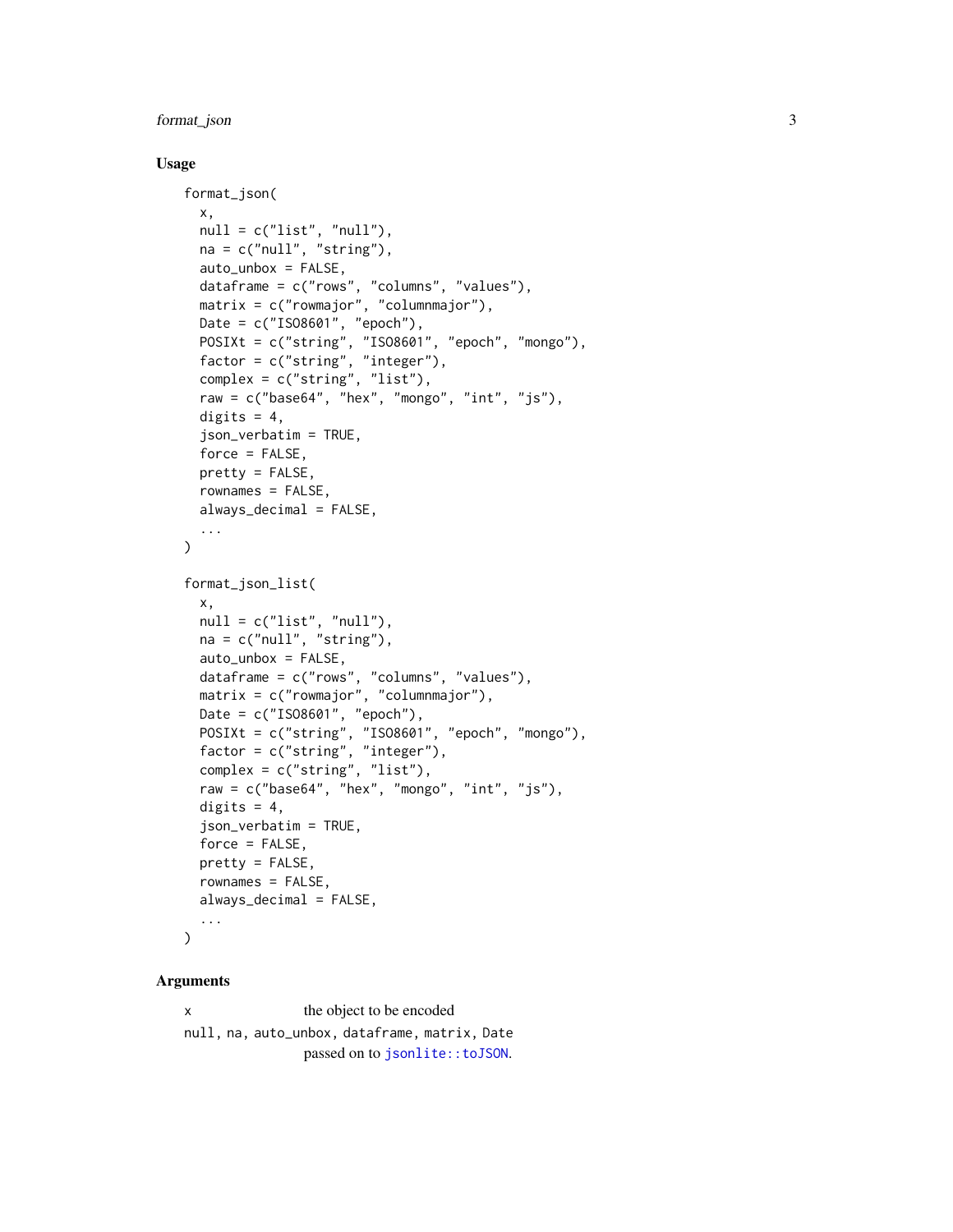## <span id="page-2-0"></span>format\_json 3

#### Usage

```
format_json(
  x,
 null = c("list", "null"),na = c("null", "string"),auto_unbox = FALSE,
  dataframe = c("rows", "columns", "values"),
 matrix = c("rowmajor", "columnmajor"),
 Date = c("IS08601", "epoch"),POSIXt = c("string", "ISO8601", "epoch", "mongo"),
  factor = c("string", "integer"),
 complex = c("string", "list"),
  raw = c("base64", "hex", "money", "int", "js"),digits = 4,
  json_verbatim = TRUE,
  force = FALSE,
 pretty = FALSE,
 rownames = FALSE,
  always_decimal = FALSE,
  ...
\mathcal{L}format_json_list(
  x,
 null = c("list", "null"),na = c("null", "string"),auto_unbox = FALSE,
 dataframe = c("rows", "columns", "values"),
 matrix = c("rownajor", "columnajor"),Date = c("IS08601", "epoch"),POSIXt = c("string", "ISO8601", "epoch", "mongo"),
  factor = c("string", "integer"),
  complex = c("string", "list"),
  raw = c("base64", "hex", "mongo", "int", "js"),
  digits = 4,
  json_verbatim = TRUE,
  force = FALSE,pretty = FALSE,
  rownames = FALSE,
 always_decimal = FALSE,
  ...
)
```
#### Arguments

x the object to be encoded null, na, auto\_unbox, dataframe, matrix, Date passed on to [jsonlite::toJSON](#page-0-0).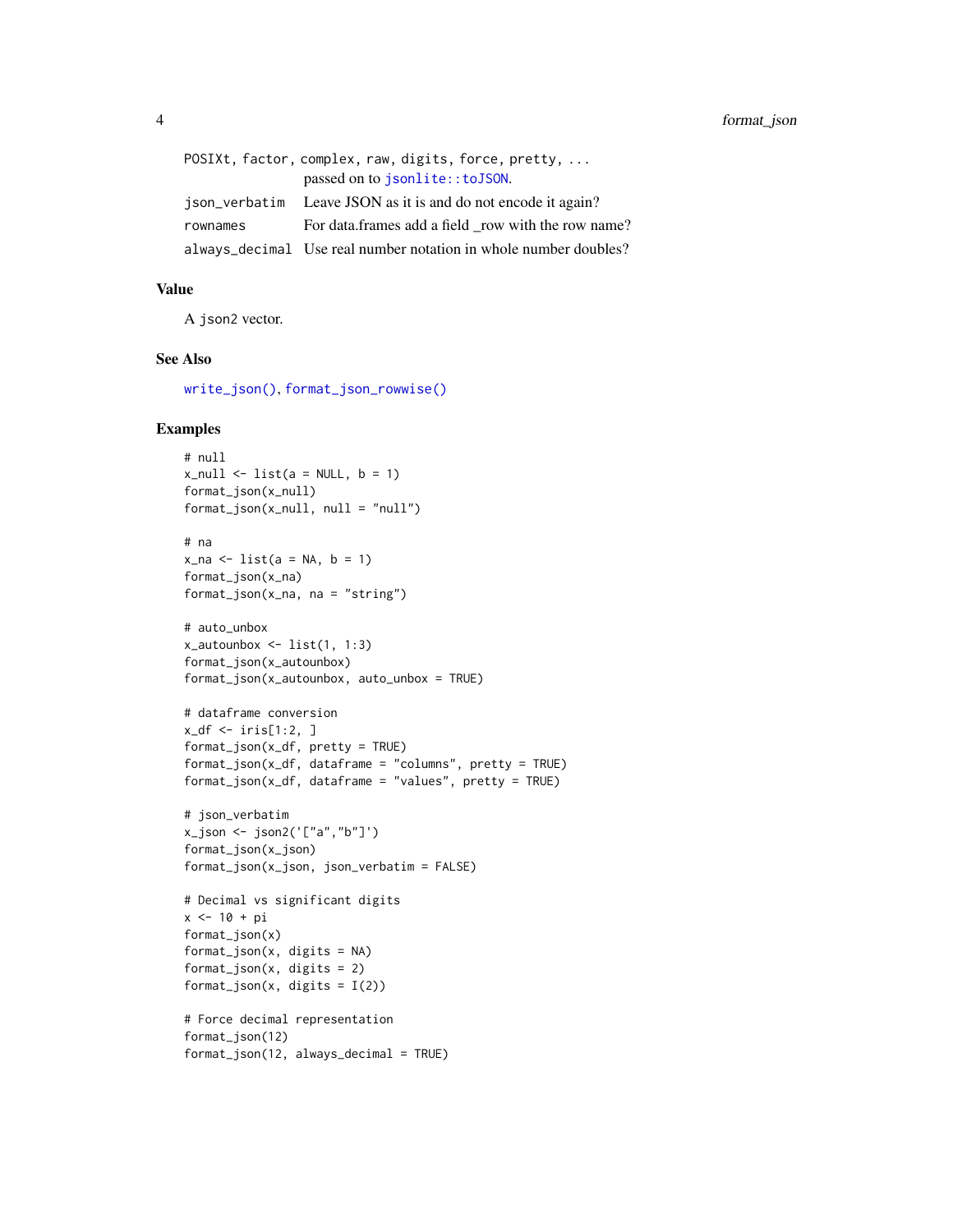<span id="page-3-0"></span>

|          | POSIXt, factor, complex, raw, digits, force, pretty,             |
|----------|------------------------------------------------------------------|
|          | passed on to <i>jsonlite::toJSON</i> .                           |
|          | ison_verbatim Leave JSON as it is and do not encode it again?    |
| rownames | For data frames add a field row with the row name?               |
|          | always_decimal Use real number notation in whole number doubles? |

## Value

A json2 vector.

#### See Also

[write\\_json\(\)](#page-27-1), [format\\_json\\_rowwise\(\)](#page-4-1)

#### Examples

```
# null
x_{null} \leftarrow list(a = NULL, b = 1)format_json(x_null)
format_json(x_null, null = "null")# na
x<sub>-</sub>na < - list(a = NA, b = 1)
format_json(x_na)
format_json(x_na, na = "string")
# auto_unbox
x_autounbox \le list(1, 1:3)
format_json(x_autounbox)
format_json(x_autounbox, auto_unbox = TRUE)
# dataframe conversion
x_df <- iris[1:2, ]
format_json(x_df, pretty = TRUE)
format_json(x_df, dataframe = "columns", pretty = TRUE)
format_json(x_df, dataframe = "values", pretty = TRUE)
# json_verbatim
x_json <- json2('["a","b"]')
format_json(x_json)
format_json(x_json, json_verbatim = FALSE)
# Decimal vs significant digits
x <- 10 + pi
format_json(x)
format_json(x, digits = NA)format_json(x, digits = 2)format_json(x, digits = I(2))# Force decimal representation
format_json(12)
format_json(12, always_decimal = TRUE)
```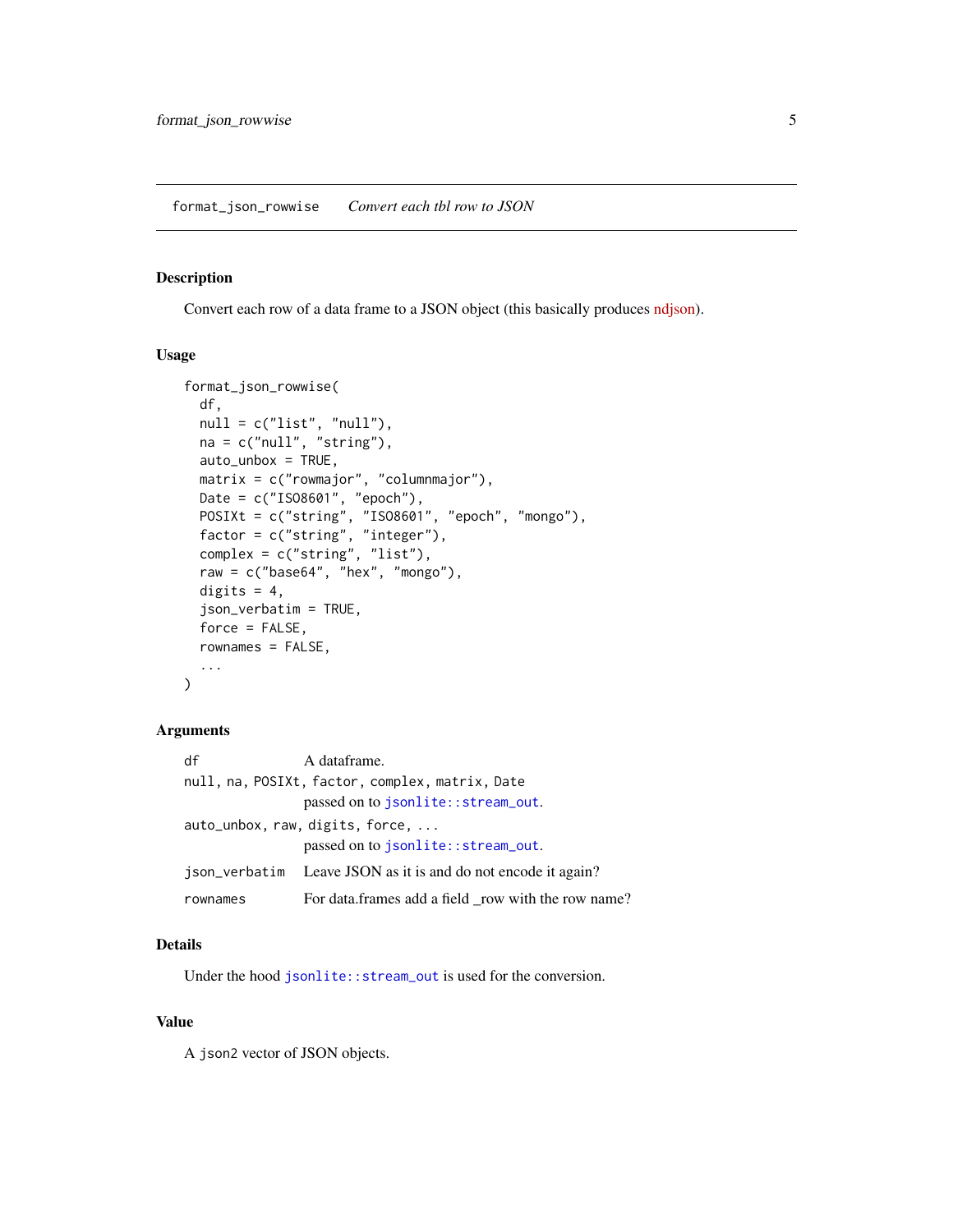<span id="page-4-1"></span><span id="page-4-0"></span>Convert each row of a data frame to a JSON object (this basically produces [ndjson\)](http://ndjson.org/).

#### Usage

```
format_json_rowwise(
 df,
 null = c("list", "null"),na = c("null", "string"),auto_unbox = TRUE,
 matrix = c("rowmajor", "columnmajor"),
 Date = c("ISO8601", "epoch"),
  POSIXt = c("string", "ISO8601", "epoch", "mongo"),
  factor = c("string", "integer"),
  complex = c("string", "list"),
  raw = c("base64", "hex", "mongo"),
 digits = 4,
  json_verbatim = TRUE,
  force = FALSE,rownames = FALSE,
  ...
\mathcal{L}
```
#### Arguments

| df                                              | A dataframe.                                                  |  |
|-------------------------------------------------|---------------------------------------------------------------|--|
| null, na, POSIXt, factor, complex, matrix, Date |                                                               |  |
|                                                 | passed on to jsonlite::stream_out.                            |  |
| auto_unbox, raw, digits, force,                 |                                                               |  |
|                                                 | passed on to jsonlite::stream_out.                            |  |
|                                                 | ison_verbatim Leave JSON as it is and do not encode it again? |  |
| rownames                                        | For data.frames add a field _row with the row name?           |  |

#### Details

Under the hood [jsonlite::stream\\_out](#page-0-0) is used for the conversion.

#### Value

A json2 vector of JSON objects.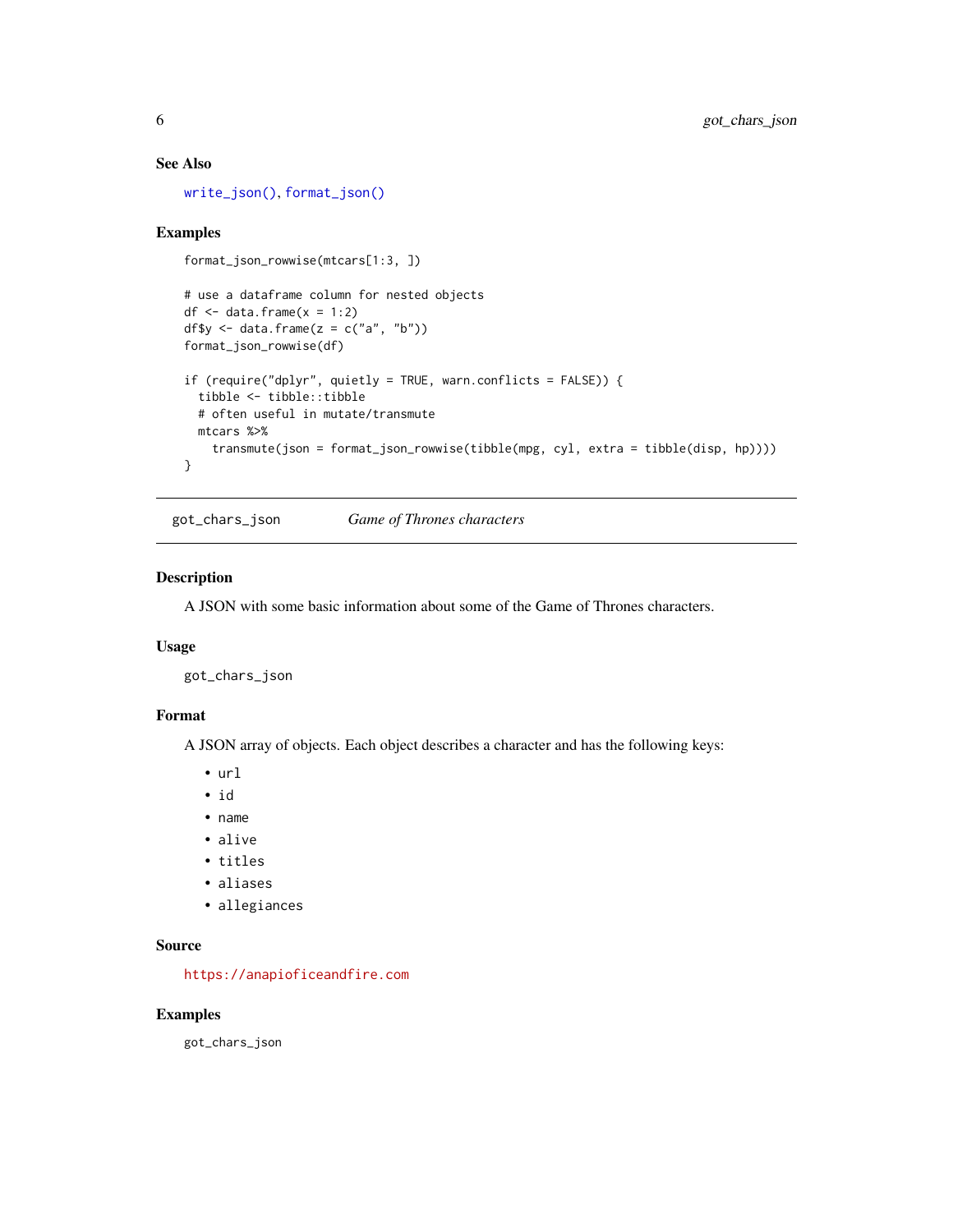#### <span id="page-5-0"></span>See Also

[write\\_json\(\)](#page-27-1), [format\\_json\(\)](#page-1-1)

#### Examples

```
format_json_rowwise(mtcars[1:3, ])
```

```
# use a dataframe column for nested objects
df \le data.frame(x = 1:2)
df$y \leftarrow data.frame(z = c("a", "b"))
format_json_rowwise(df)
if (require("dplyr", quietly = TRUE, warn.conflicts = FALSE)) {
  tibble <- tibble::tibble
  # often useful in mutate/transmute
  mtcars %>%
    transmute(json = format_json_rowwise(tibble(mpg, cyl, extra = tibble(disp, hp))))
}
```
got\_chars\_json *Game of Thrones characters*

#### Description

A JSON with some basic information about some of the Game of Thrones characters.

#### Usage

got\_chars\_json

#### Format

A JSON array of objects. Each object describes a character and has the following keys:

- url
- id
- name
- alive
- titles
- aliases
- allegiances

#### Source

<https://anapioficeandfire.com>

#### Examples

got\_chars\_json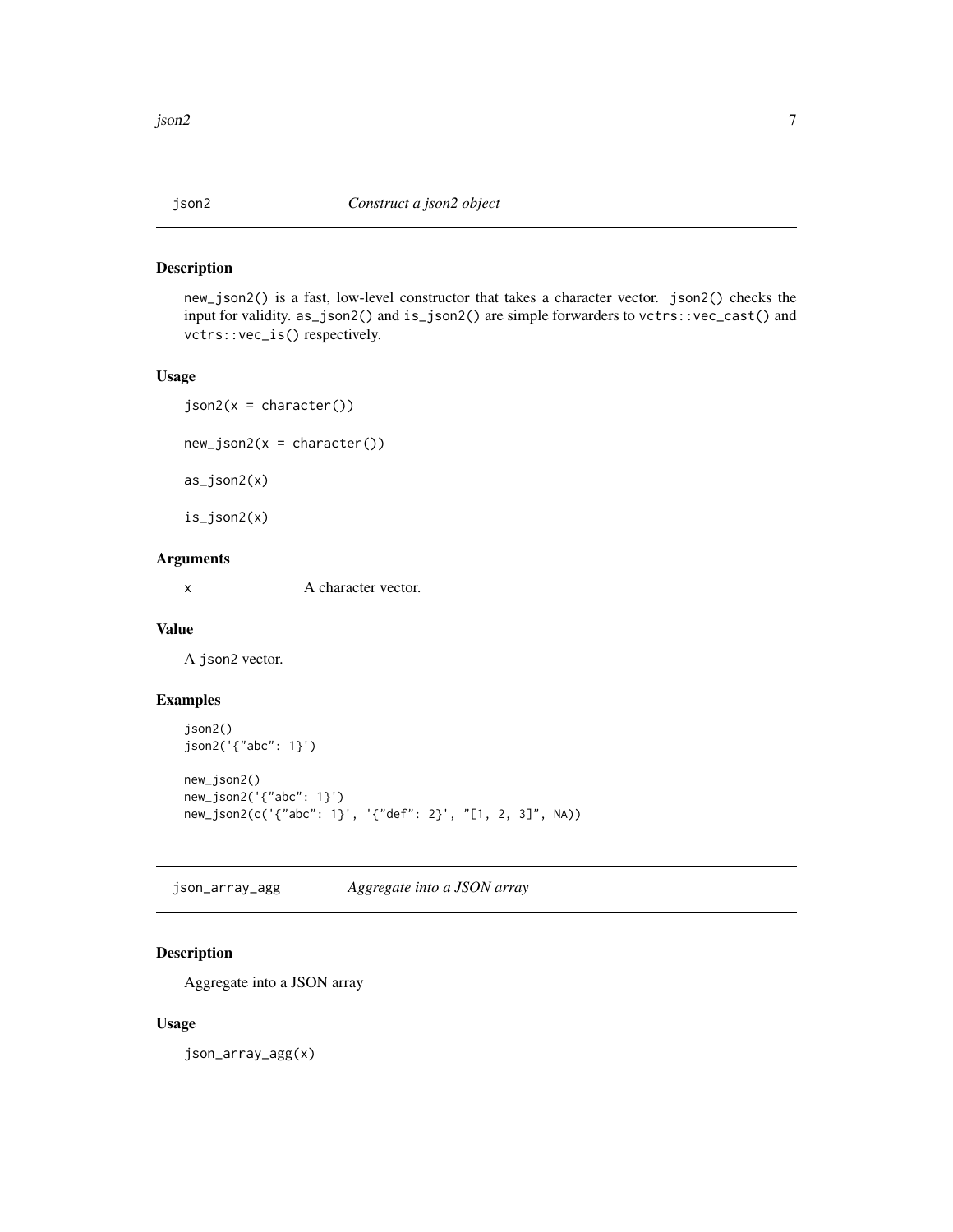<span id="page-6-0"></span>

new\_json2() is a fast, low-level constructor that takes a character vector. json2() checks the input for validity. as\_json2() and is\_json2() are simple forwarders to vctrs::vec\_cast() and vctrs::vec\_is() respectively.

#### Usage

```
json2(x = character())new_json2(x = character())as_json2(x)
is_json2(x)
```
#### Arguments

x A character vector.

#### Value

A json2 vector.

## Examples

```
json2()
json2('{"abc": 1}')
new_json2()
new_json2('{"abc": 1}')
new_json2(c('{"abc": 1}', '{"def": 2}', "[1, 2, 3]", NA))
```
json\_array\_agg *Aggregate into a JSON array*

## Description

Aggregate into a JSON array

#### Usage

json\_array\_agg(x)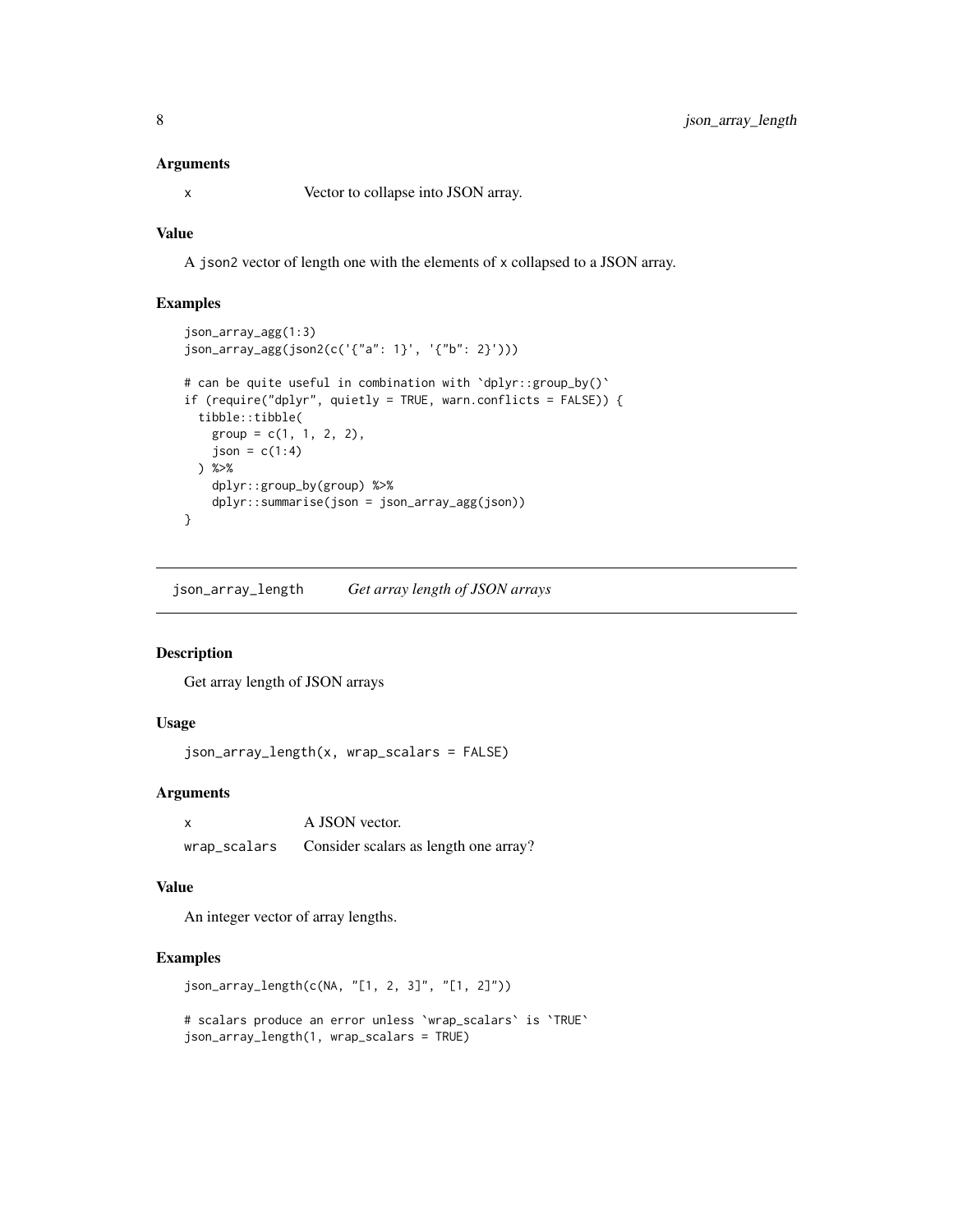#### <span id="page-7-0"></span>**Arguments**

x Vector to collapse into JSON array.

#### Value

A json2 vector of length one with the elements of x collapsed to a JSON array.

#### Examples

```
json_array_agg(1:3)
json_array_agg(json2(c('{"a": 1}', '{"b": 2}')))
# can be quite useful in combination with 'dplyr::group_by()'
if (require("dplyr", quietly = TRUE, warn.conflicts = FALSE)) {
 tibble::tibble(
   group = c(1, 1, 2, 2),json = c(1:4)) %>%
   dplyr::group_by(group) %>%
   dplyr::summarise(json = json_array_agg(json))
}
```
<span id="page-7-1"></span>json\_array\_length *Get array length of JSON arrays*

#### Description

Get array length of JSON arrays

#### Usage

json\_array\_length(x, wrap\_scalars = FALSE)

## Arguments

| A JSON vector.                                     |
|----------------------------------------------------|
| wrap_scalars Consider scalars as length one array? |

#### Value

An integer vector of array lengths.

## Examples

json\_array\_length(c(NA, "[1, 2, 3]", "[1, 2]"))

# scalars produce an error unless `wrap\_scalars` is `TRUE` json\_array\_length(1, wrap\_scalars = TRUE)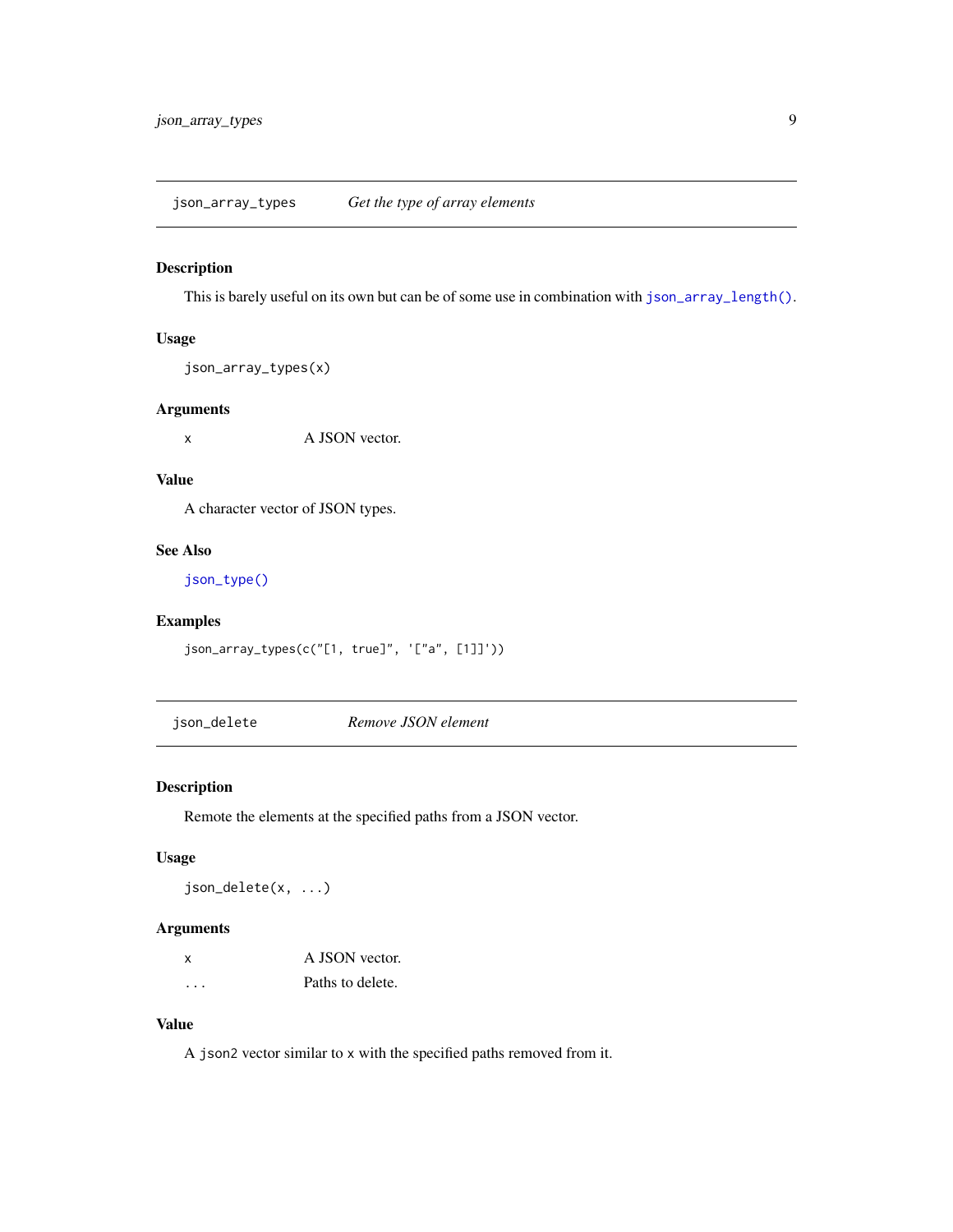<span id="page-8-0"></span>This is barely useful on its own but can be of some use in combination with [json\\_array\\_length\(\)](#page-7-1).

#### Usage

```
json_array_types(x)
```
## Arguments

x A JSON vector.

## Value

A character vector of JSON types.

#### See Also

[json\\_type\(\)](#page-17-2)

## Examples

json\_array\_types(c("[1, true]", '["a", [1]]'))

json\_delete *Remove JSON element*

## Description

Remote the elements at the specified paths from a JSON vector.

#### Usage

json\_delete(x, ...)

## Arguments

| x | A JSON vector.   |
|---|------------------|
| . | Paths to delete. |

## Value

A json2 vector similar to x with the specified paths removed from it.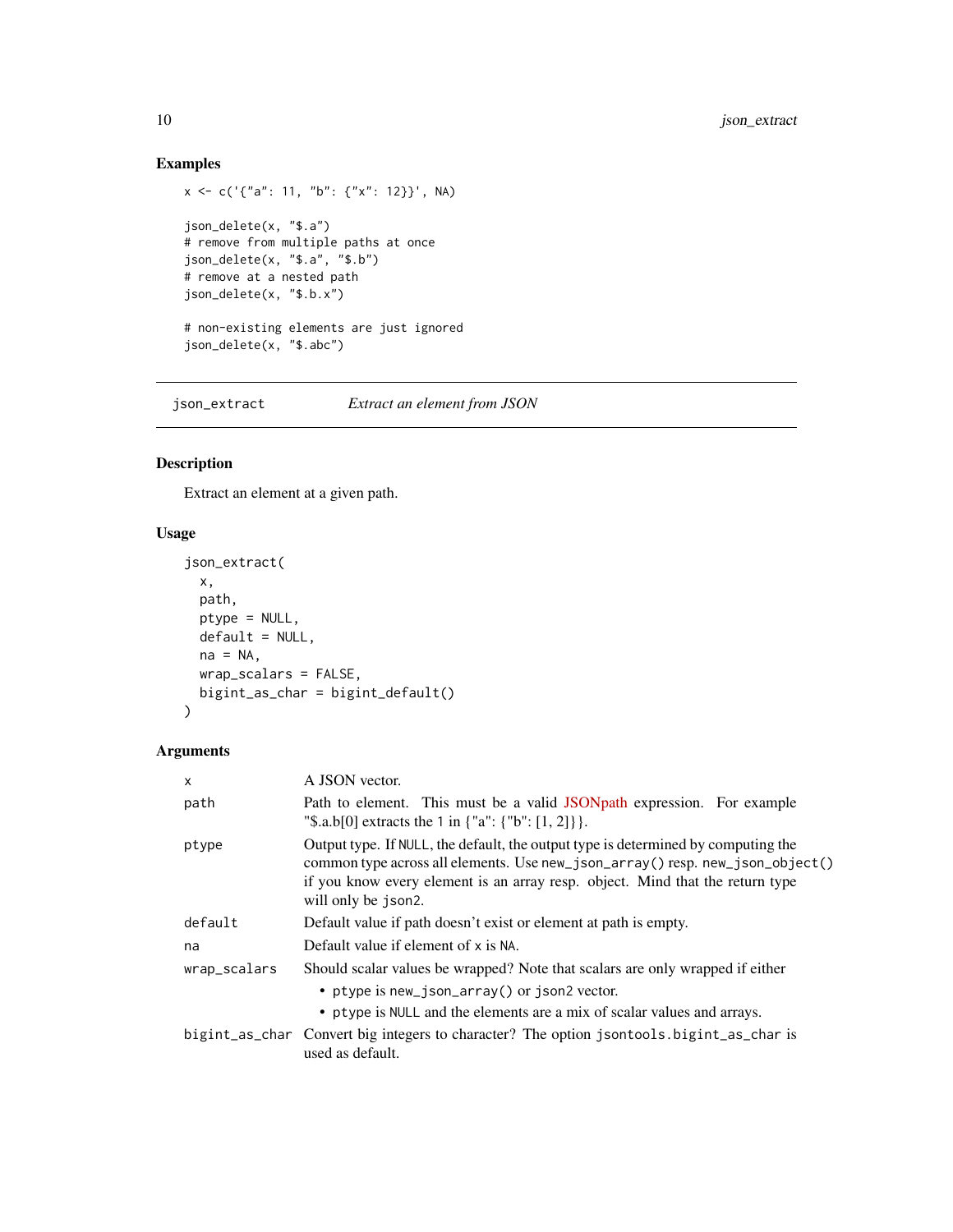## Examples

```
x \leq -c('{'a": 11, "b": {'x": 12}}', NA)json_delete(x, "$.a")
# remove from multiple paths at once
json_delete(x, "$.a", "$.b")
# remove at a nested path
json_delete(x, "$.b.x")
# non-existing elements are just ignored
json_delete(x, "$.abc")
```
<span id="page-9-1"></span>json\_extract *Extract an element from JSON*

## Description

Extract an element at a given path.

## Usage

```
json_extract(
 x,
 path,
 ptype = NULL,
 default = NULL,na = NA,
 wrap_scalars = FALSE,
 bigint_as_char = bigint_default()
\mathcal{L}
```
#### Arguments

| $\mathsf{x}$ | A JSON vector.                                                                                                                                                                                                                                                             |
|--------------|----------------------------------------------------------------------------------------------------------------------------------------------------------------------------------------------------------------------------------------------------------------------------|
| path         | Path to element. This must be a valid JSONpath expression. For example<br>"\\$.a.b[0] extracts the 1 in $\{$ "a": $\{$ "b": [1, 2]} }.                                                                                                                                     |
| ptype        | Output type. If NULL, the default, the output type is determined by computing the<br>common type across all elements. Use new_json_array() resp. new_json_object()<br>if you know every element is an array resp. object. Mind that the return type<br>will only be json2. |
| default      | Default value if path doesn't exist or element at path is empty.                                                                                                                                                                                                           |
| na           | Default value if element of x is NA.                                                                                                                                                                                                                                       |
| wrap_scalars | Should scalar values be wrapped? Note that scalars are only wrapped if either<br>• ptype is new_json_array() or json2 vector.<br>• ptype is NULL and the elements are a mix of scalar values and arrays.                                                                   |
|              | bigint_as_char Convert big integers to character? The option jsontools.bigint_as_char is<br>used as default.                                                                                                                                                               |

<span id="page-9-0"></span>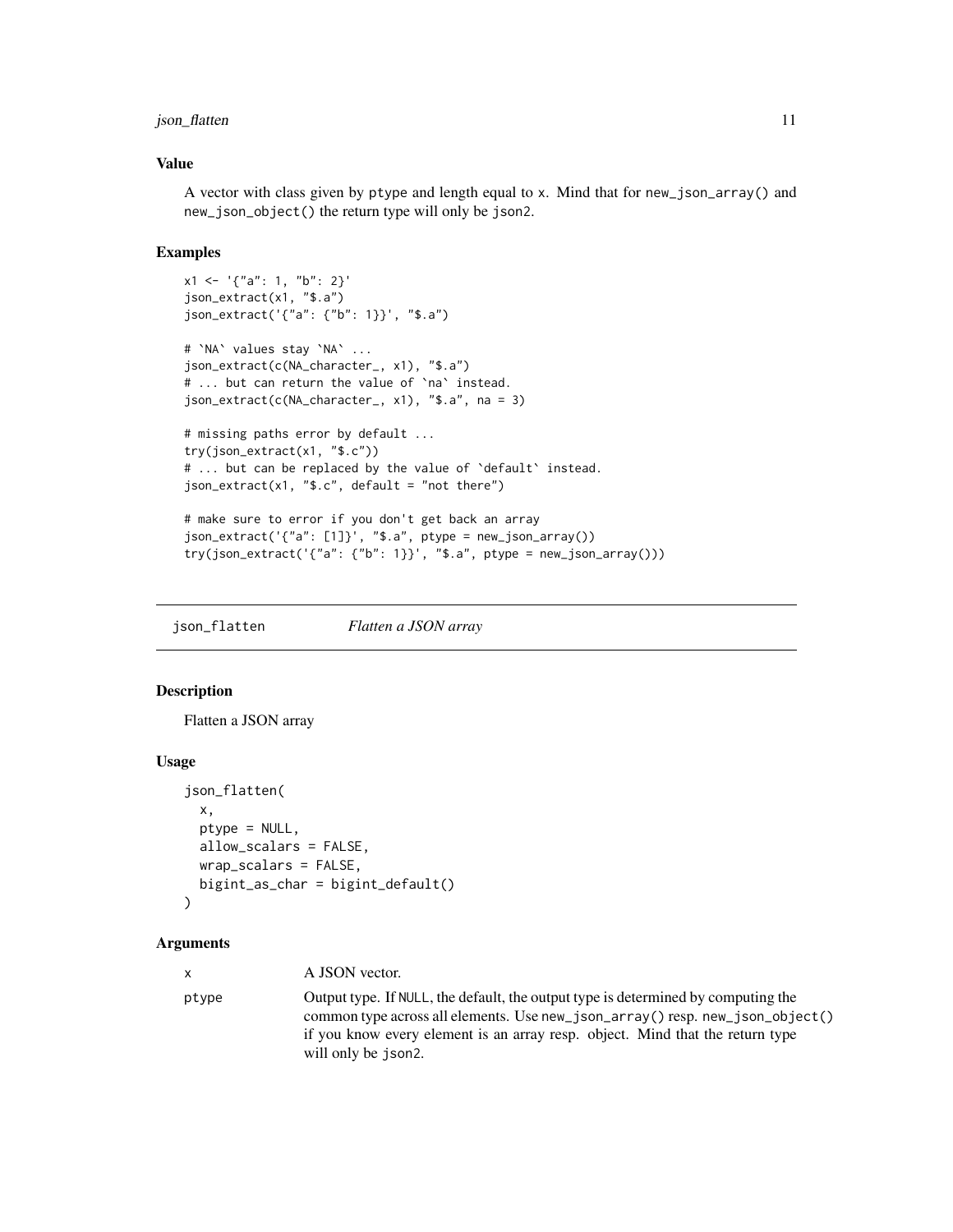## <span id="page-10-0"></span>json\_flatten 11

#### Value

A vector with class given by ptype and length equal to x. Mind that for new\_json\_array() and new\_json\_object() the return type will only be json2.

#### Examples

```
x1 \leq - \{"a": 1, "b": 2}'
json_extract(x1, "$.a")
json_extract('{"a": {"b": 1}}', "$.a")
# `NA` values stay `NA` ...
json_extract(c(NA_character_, x1), "$.a")
# ... but can return the value of `na` instead.
json_extract(c(NA_character_, x1), "$.a", na = 3)
# missing paths error by default ...
try(json_extract(x1, "$.c"))
# ... but can be replaced by the value of 'default' instead.
json_extract(x1, "$.c", default = "not there")
# make sure to error if you don't get back an array
json_extract('{"a": [1]}', "$.a", ptype = new_json_array())
```

```
try(json\_extract('{'a": {'b": 1}}', '§.a", ptype = new_json_array())
```
json\_flatten *Flatten a JSON array*

## Description

Flatten a JSON array

## Usage

```
json_flatten(
 x,
 ptype = NULL,
 allow_scalars = FALSE,
 wrap_scalars = FALSE,
 bigint_as_char = bigint_default()
)
```
#### Arguments

| x.    | A JSON vector.                                                                                                                                                                                                                                      |
|-------|-----------------------------------------------------------------------------------------------------------------------------------------------------------------------------------------------------------------------------------------------------|
| ptype | Output type. If NULL, the default, the output type is determined by computing the<br>common type across all elements. Use new_json_array() resp. new_json_object()<br>if you know every element is an array resp. object. Mind that the return type |
|       | will only be json2.                                                                                                                                                                                                                                 |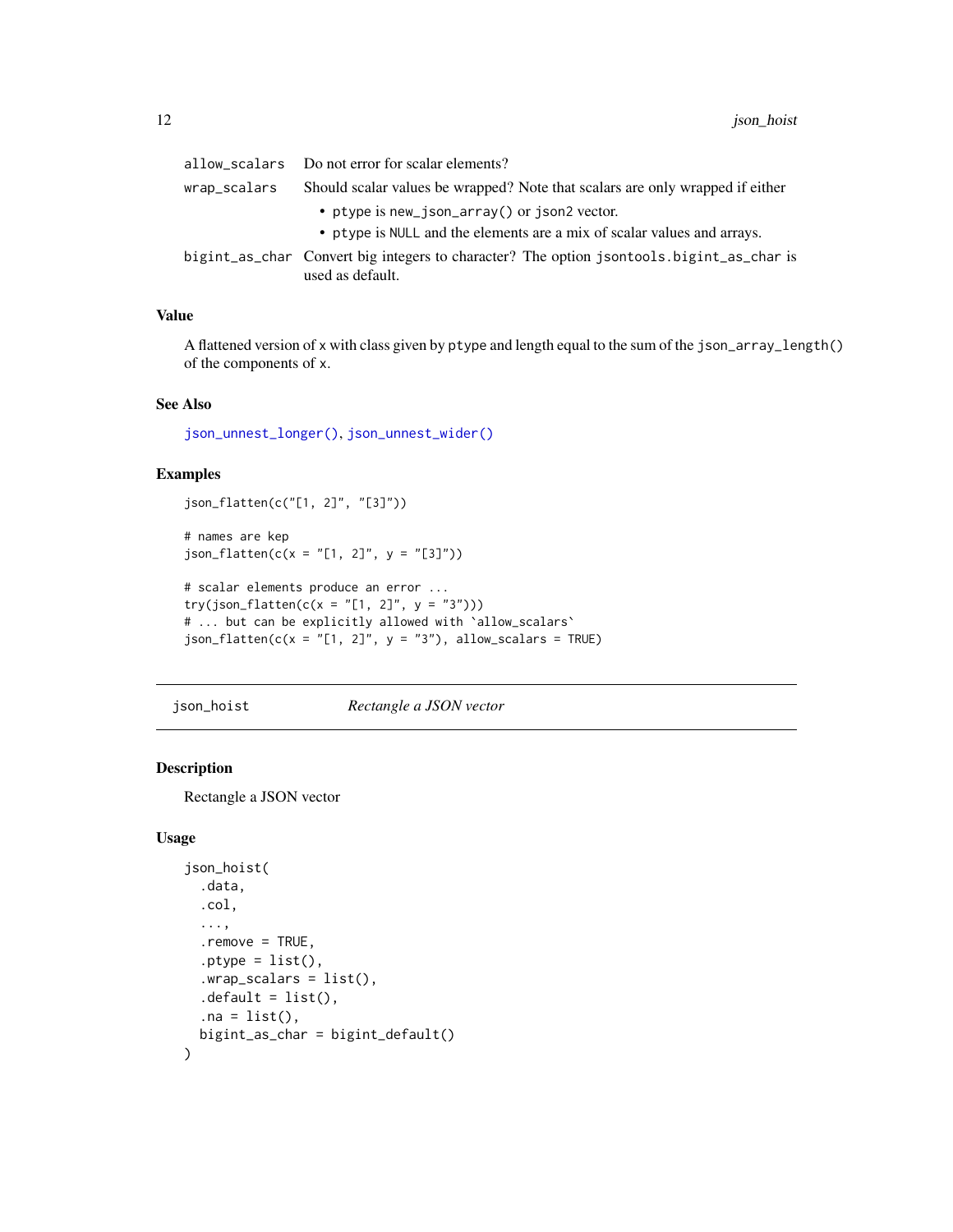<span id="page-11-0"></span>

|              | allow_scalars Do not error for scalar elements?                                                                         |
|--------------|-------------------------------------------------------------------------------------------------------------------------|
| wrap_scalars | Should scalar values be wrapped? Note that scalars are only wrapped if either                                           |
|              | • ptype is new_json_array() or json2 vector.<br>• ptype is NULL and the elements are a mix of scalar values and arrays. |
|              | bigint_as_char Convert big integers to character? The option jsontools.bigint_as_char is<br>used as default.            |

#### Value

A flattened version of x with class given by ptype and length equal to the sum of the json\_array\_length() of the components of x.

## See Also

[json\\_unnest\\_longer\(\)](#page-18-1), [json\\_unnest\\_wider\(\)](#page-19-1)

## Examples

```
json_flatten(c("[1, 2]", "[3]"))
```

```
# names are kep
json_flatten(c(x = "[1, 2]", y = "[3]"))
```

```
# scalar elements produce an error ...
try(json_flatten(c(x = "[1, 2]", y = "3")))
# ... but can be explicitly allowed with `allow_scalars`
json_flatten(c(x = "[1, 2]", y = "3"), allow_scalars = TRUE)
```
json\_hoist *Rectangle a JSON vector*

## Description

Rectangle a JSON vector

#### Usage

```
json_hoist(
  .data,
  .col,
  ...,
  .remove = TRUE,
  .ptype = list(),
  .wrap_scalars = list(),
  default = list(),
  .na = list(),
 bigint_as_char = bigint_default()
)
```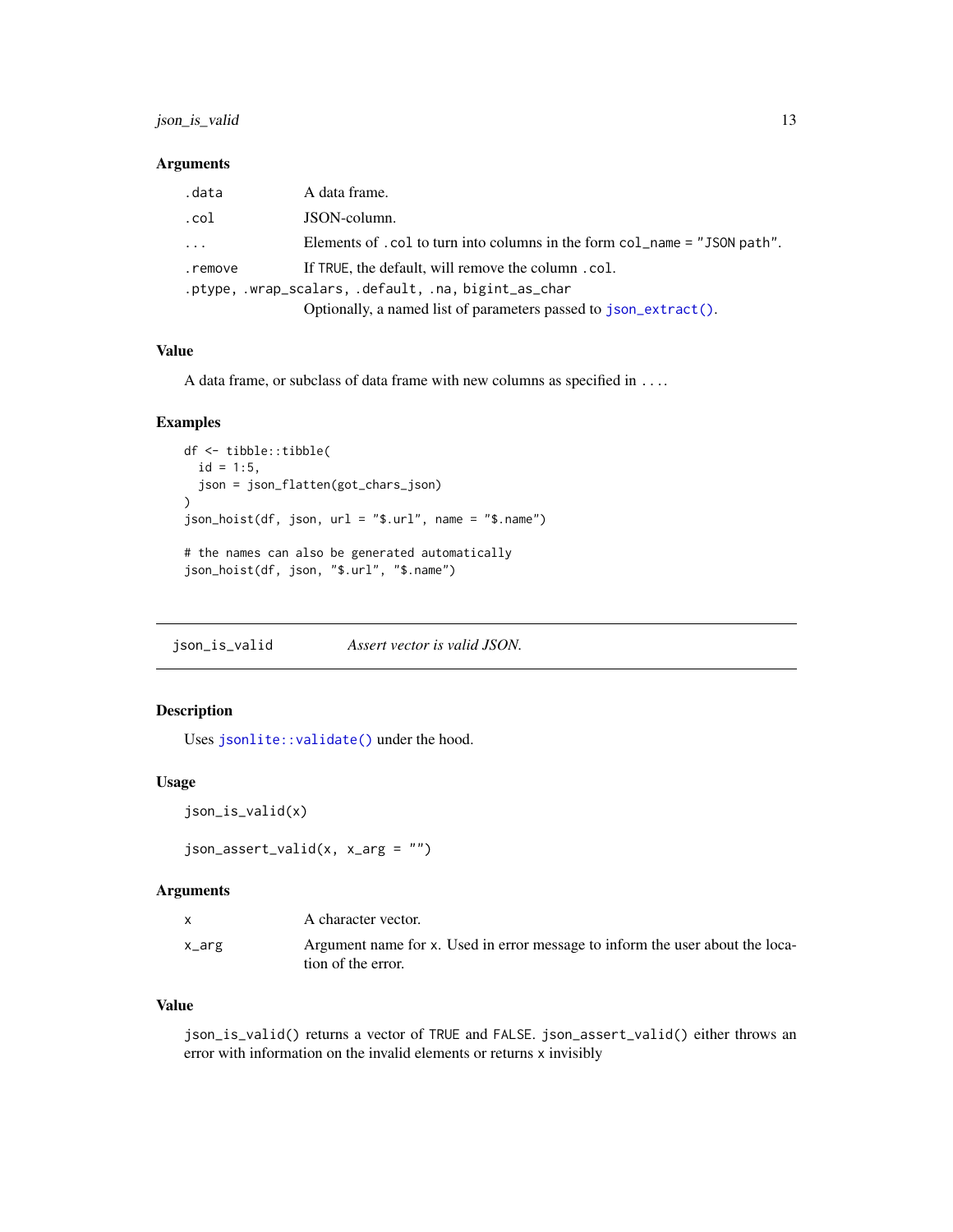#### <span id="page-12-0"></span>Arguments

| .data                                                | A data frame.                                                              |  |
|------------------------------------------------------|----------------------------------------------------------------------------|--|
| .col                                                 | JSON-column.                                                               |  |
| $\cdots$                                             | Elements of . col to turn into columns in the form col_name = "JSON path". |  |
| .remove                                              | If TRUE, the default, will remove the column.col.                          |  |
| .ptype, .wrap_scalars, .default, .na, bigint_as_char |                                                                            |  |
|                                                      | Optionally, a named list of parameters passed to json_extract().           |  |

## Value

A data frame, or subclass of data frame with new columns as specified in ....

#### Examples

```
df <- tibble::tibble(
  id = 1:5,
  json = json_flatten(got_chars_json)
\mathcal{L}json_hoist(df, json, url = "$.url", name = "$.name")
# the names can also be generated automatically
json_hoist(df, json, "$.url", "$.name")
```
json\_is\_valid *Assert vector is valid JSON.*

## Description

Uses [jsonlite::validate\(\)](#page-0-0) under the hood.

#### Usage

```
json_is_valid(x)
```

```
json_assert\_valid(x, x_arg = "")
```
#### Arguments

|       | A character vector.                                                                                 |
|-------|-----------------------------------------------------------------------------------------------------|
| x_arg | Argument name for x. Used in error message to inform the user about the loca-<br>tion of the error. |

#### Value

json\_is\_valid() returns a vector of TRUE and FALSE. json\_assert\_valid() either throws an error with information on the invalid elements or returns x invisibly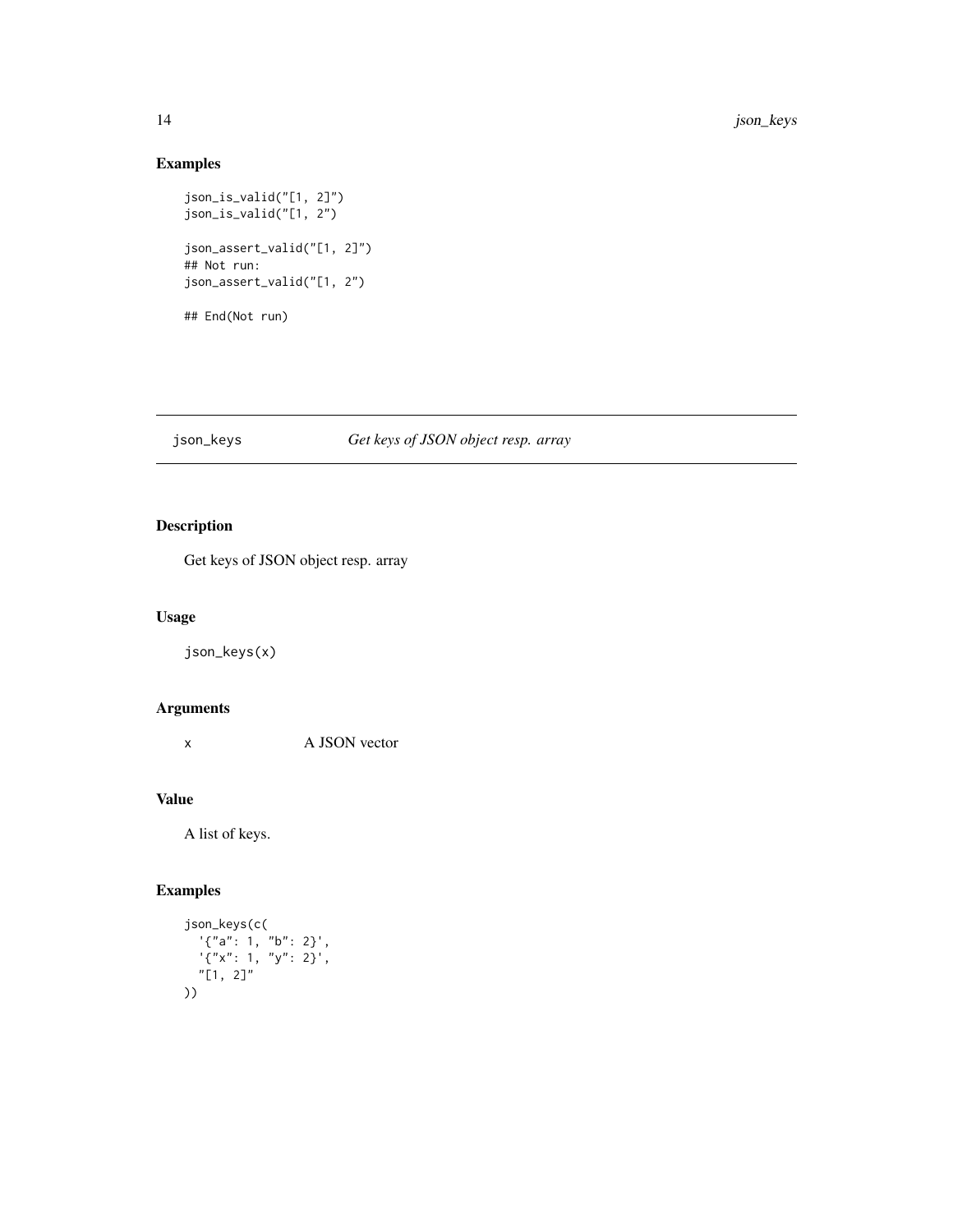## Examples

```
json_is_valid("[1, 2]")
json_is_valid("[1, 2")
json_assert_valid("[1, 2]")
## Not run:
json_assert_valid("[1, 2")
## End(Not run)
```
## json\_keys *Get keys of JSON object resp. array*

## Description

Get keys of JSON object resp. array

#### Usage

json\_keys(x)

## Arguments

x A JSON vector

## Value

A list of keys.

# Examples

```
json_keys(c(
   '{"a": 1, "b": 2}',
   '{"x": 1, "y": 2}',
  "[1, 2]"
))
```
<span id="page-13-0"></span>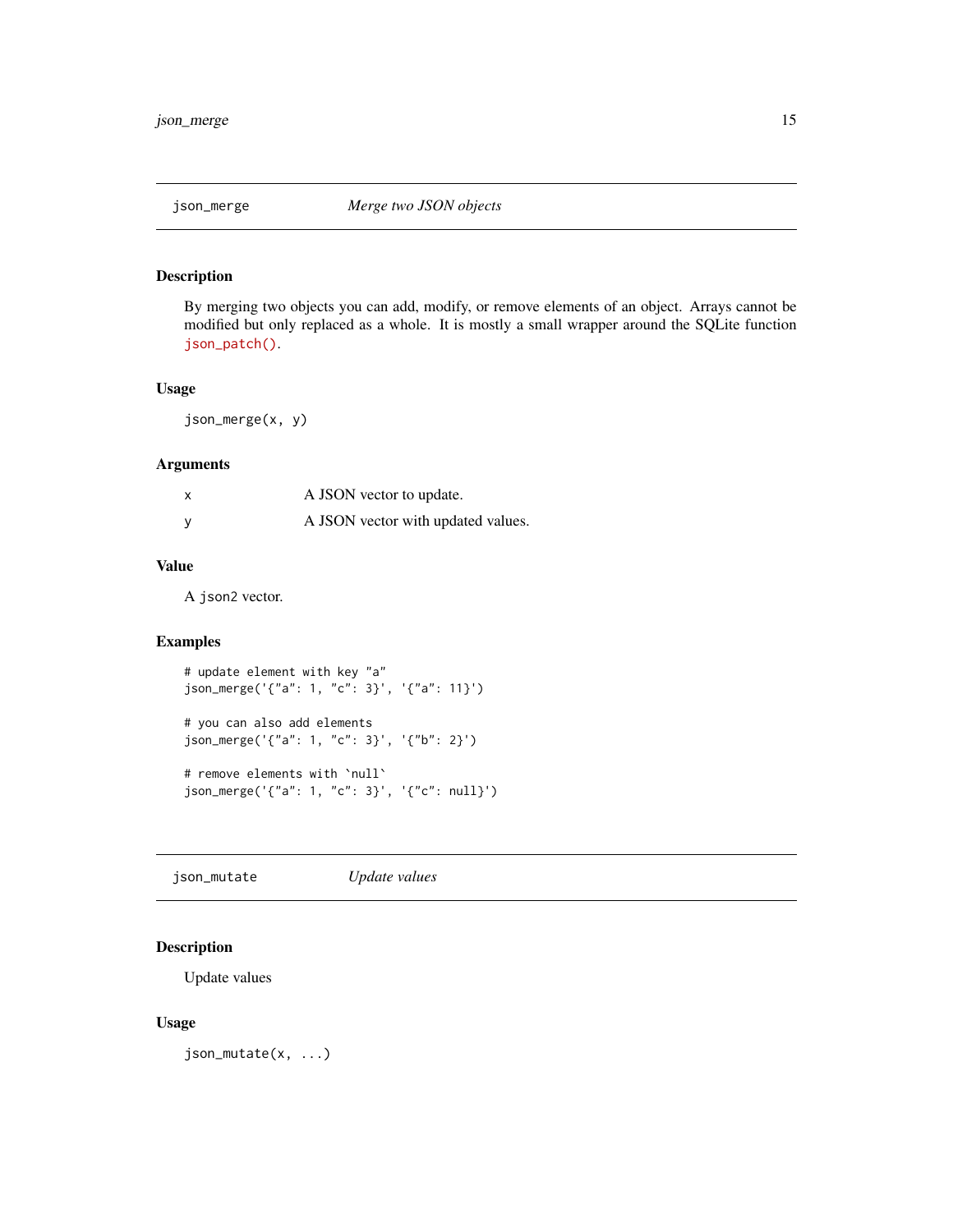<span id="page-14-0"></span>

By merging two objects you can add, modify, or remove elements of an object. Arrays cannot be modified but only replaced as a whole. It is mostly a small wrapper around the SQLite function [json\\_patch\(\)](https://www.sqlite.org/json1.html#jpatch).

#### Usage

json\_merge(x, y)

#### Arguments

| A JSON vector to update.           |
|------------------------------------|
| A JSON vector with updated values. |

#### Value

A json2 vector.

## Examples

```
# update element with key "a"
json_merge('{"a": 1, "c": 3}', '{"a": 11}')
# you can also add elements
json_merge('{"a": 1, "c": 3}', '{"b": 2}')
# remove elements with `null`
json_merge('{"a": 1, "c": 3}', '{"c": null}')
```
json\_mutate *Update values*

## Description

Update values

#### Usage

json\_mutate(x, ...)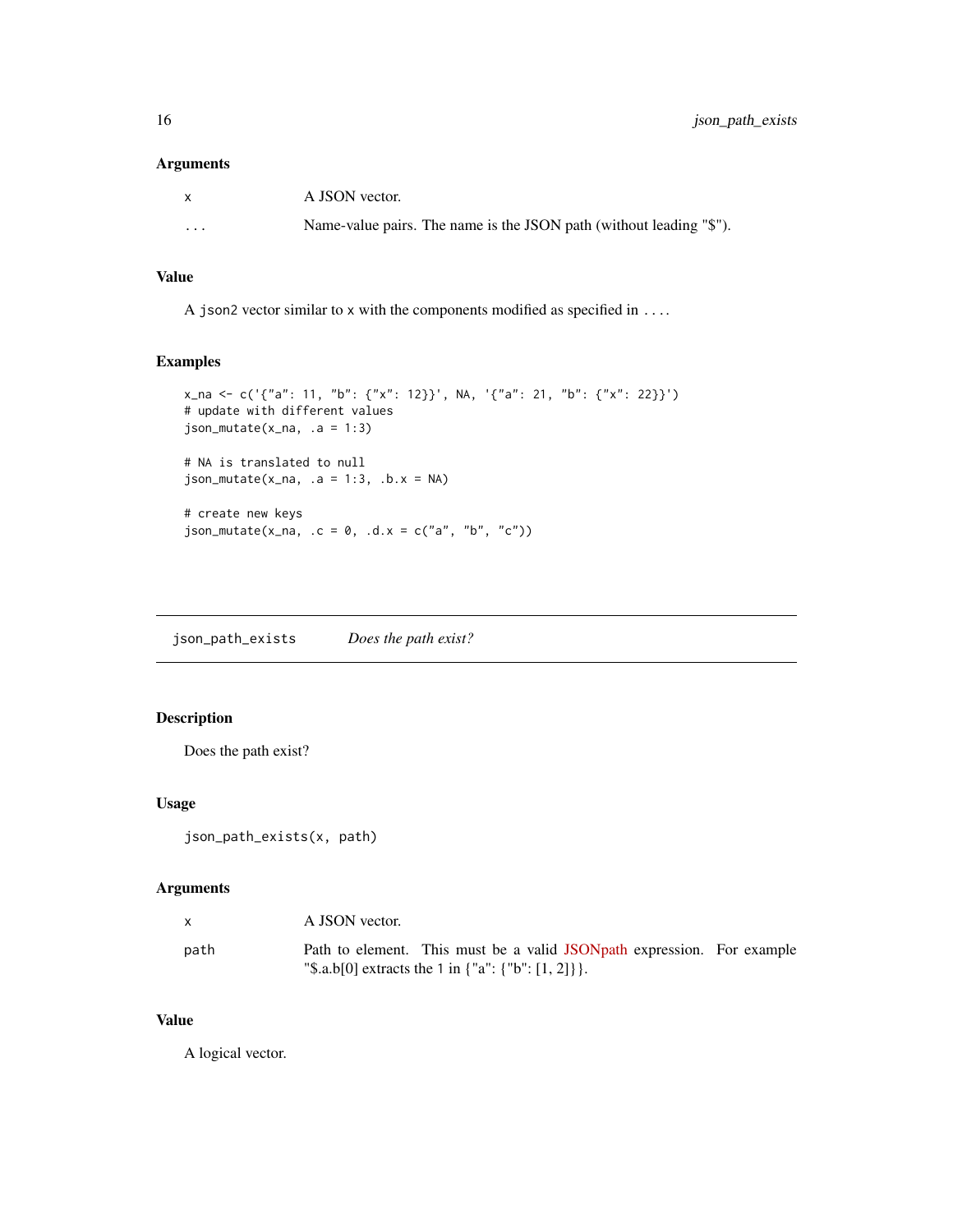#### <span id="page-15-0"></span>Arguments

| X        | A JSON vector.                                                      |
|----------|---------------------------------------------------------------------|
| $\cdots$ | Name-value pairs. The name is the JSON path (without leading "\$"). |

## Value

A json2 vector similar to x with the components modified as specified in ....

## Examples

```
x_na <- c('{"a": 11, "b": {"x": 12}}', NA, '{"a": 21, "b": {"x": 22}}')
# update with different values
json_mutate(x_na, .a = 1:3)# NA is translated to null
json_mutate(x_na, a = 1:3, b.x = NA)# create new keys
json_mutate(x_na, c = 0, d.x = c("a", "b", "c"))
```
json\_path\_exists *Does the path exist?*

## Description

Does the path exist?

#### Usage

```
json_path_exists(x, path)
```
## Arguments

|      | A JSON vector.                                                                                                                          |  |
|------|-----------------------------------------------------------------------------------------------------------------------------------------|--|
| path | Path to element. This must be a valid JSON path expression. For example<br>"\\$.a.b[0] extracts the 1 in $\{$ "a": $\{$ "b": [1, 2]} }. |  |

## Value

A logical vector.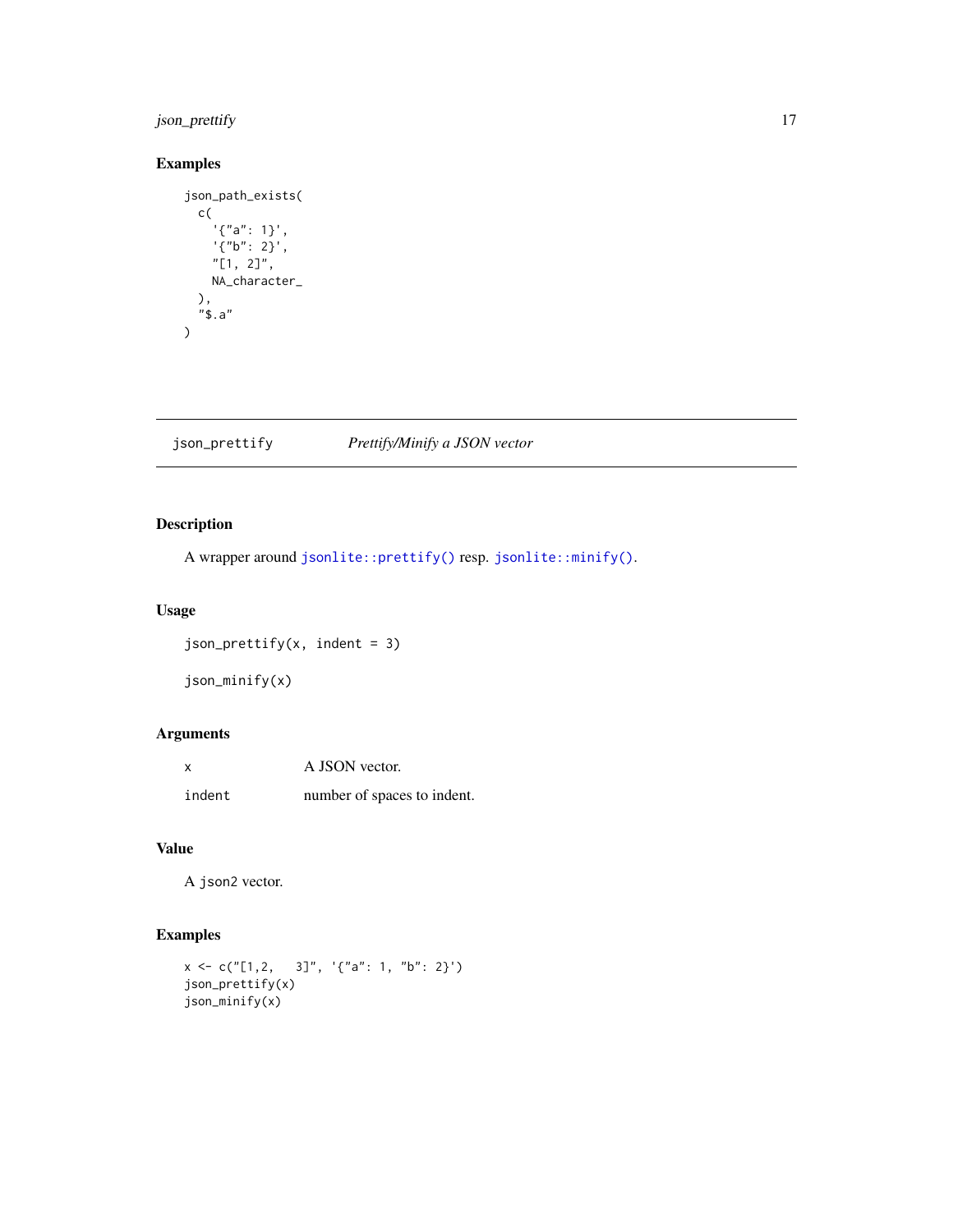## <span id="page-16-0"></span>json\_prettify 17

## Examples

```
json_path_exists(
  c(
     '{"a": 1}',
     '{"b": 2}',
    "[1, 2]",
    NA_character_
  ),
  "$.a"
\mathcal{L}
```
json\_prettify *Prettify/Minify a JSON vector*

## Description

A wrapper around [jsonlite::prettify\(\)](#page-0-0) resp. [jsonlite::minify\(\)](#page-0-0).

#### Usage

```
json_prettify(x, indent = 3)
```

```
json_minify(x)
```
## Arguments

| $\boldsymbol{\mathsf{x}}$ | A JSON vector.              |
|---------------------------|-----------------------------|
| indent                    | number of spaces to indent. |

## Value

A json2 vector.

## Examples

```
x \leq c("[1,2, 3]", '{'"a": 1, "b": 2}'')json_prettify(x)
json_minify(x)
```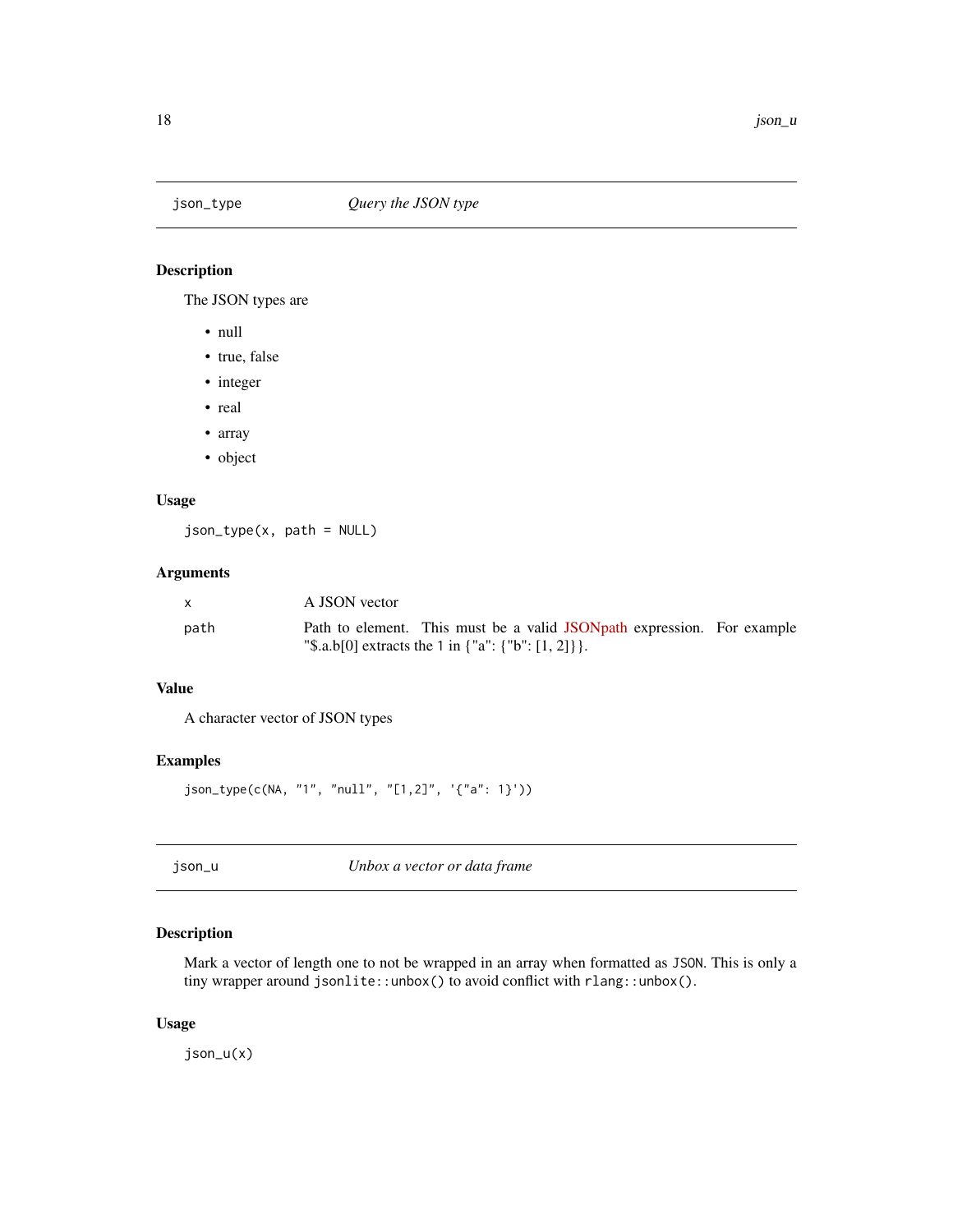<span id="page-17-2"></span><span id="page-17-0"></span>

The JSON types are

- null
- true, false
- integer
- real
- array
- object

#### Usage

json\_type(x, path = NULL)

## Arguments

|      | A JSON vector |                                                                         |  |
|------|---------------|-------------------------------------------------------------------------|--|
| path |               | Path to element. This must be a valid JSON path expression. For example |  |
|      |               | "\$.a.b[0] extracts the 1 in $\{$ "a": $\{$ "b": [1, 2] $\}$ .          |  |

#### Value

A character vector of JSON types

## Examples

json\_type(c(NA, "1", "null", "[1,2]", '{"a": 1}'))

<span id="page-17-1"></span>json\_u *Unbox a vector or data frame*

## Description

Mark a vector of length one to not be wrapped in an array when formatted as JSON. This is only a tiny wrapper around jsonlite::unbox() to avoid conflict with rlang::unbox().

## Usage

json\_u(x)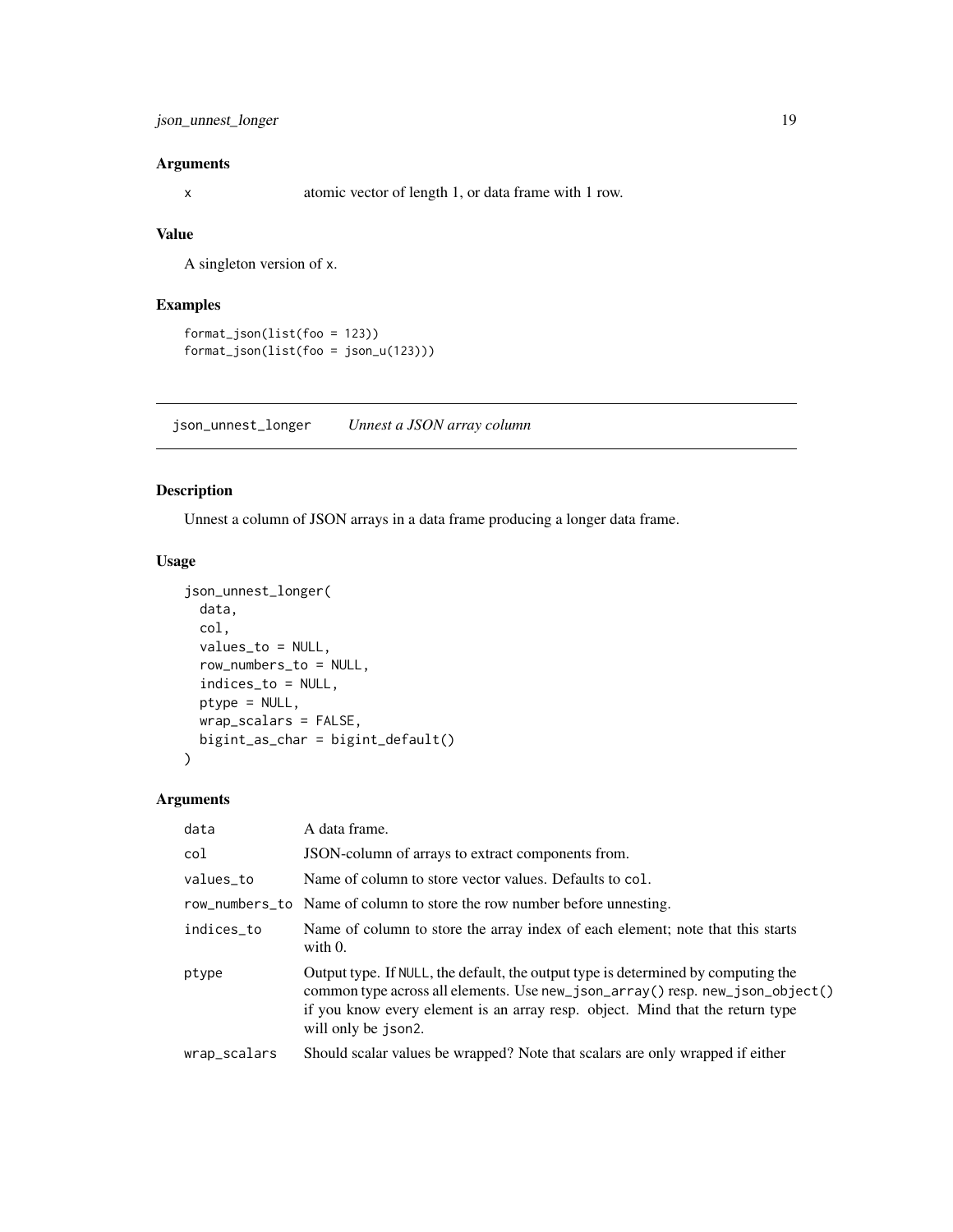<span id="page-18-0"></span>json\_unnest\_longer 19

#### Arguments

x atomic vector of length 1, or data frame with 1 row.

#### Value

A singleton version of x.

## Examples

```
format_json(list(foo = 123))
format_json(list(foo = json_u(123)))
```
<span id="page-18-1"></span>json\_unnest\_longer *Unnest a JSON array column*

#### Description

Unnest a column of JSON arrays in a data frame producing a longer data frame.

#### Usage

```
json_unnest_longer(
 data,
 col,
 values_to = NULL,
  row_numbers_to = NULL,
  indices_to = NULL,
 ptype = NULL,
 wrap_scalars = FALSE,
 bigint_as_char = bigint_default()
)
```
## Arguments

| data         | A data frame.                                                                                                                                                                                                                                                              |
|--------------|----------------------------------------------------------------------------------------------------------------------------------------------------------------------------------------------------------------------------------------------------------------------------|
| col          | JSON-column of arrays to extract components from.                                                                                                                                                                                                                          |
| values_to    | Name of column to store vector values. Defaults to col.                                                                                                                                                                                                                    |
|              | row_numbers_to Name of column to store the row number before unnesting.                                                                                                                                                                                                    |
| indices_to   | Name of column to store the array index of each element; note that this starts<br>with $0$ .                                                                                                                                                                               |
| ptype        | Output type. If NULL, the default, the output type is determined by computing the<br>common type across all elements. Use new_json_array() resp. new_json_object()<br>if you know every element is an array resp. object. Mind that the return type<br>will only be json2. |
| wrap_scalars | Should scalar values be wrapped? Note that scalars are only wrapped if either                                                                                                                                                                                              |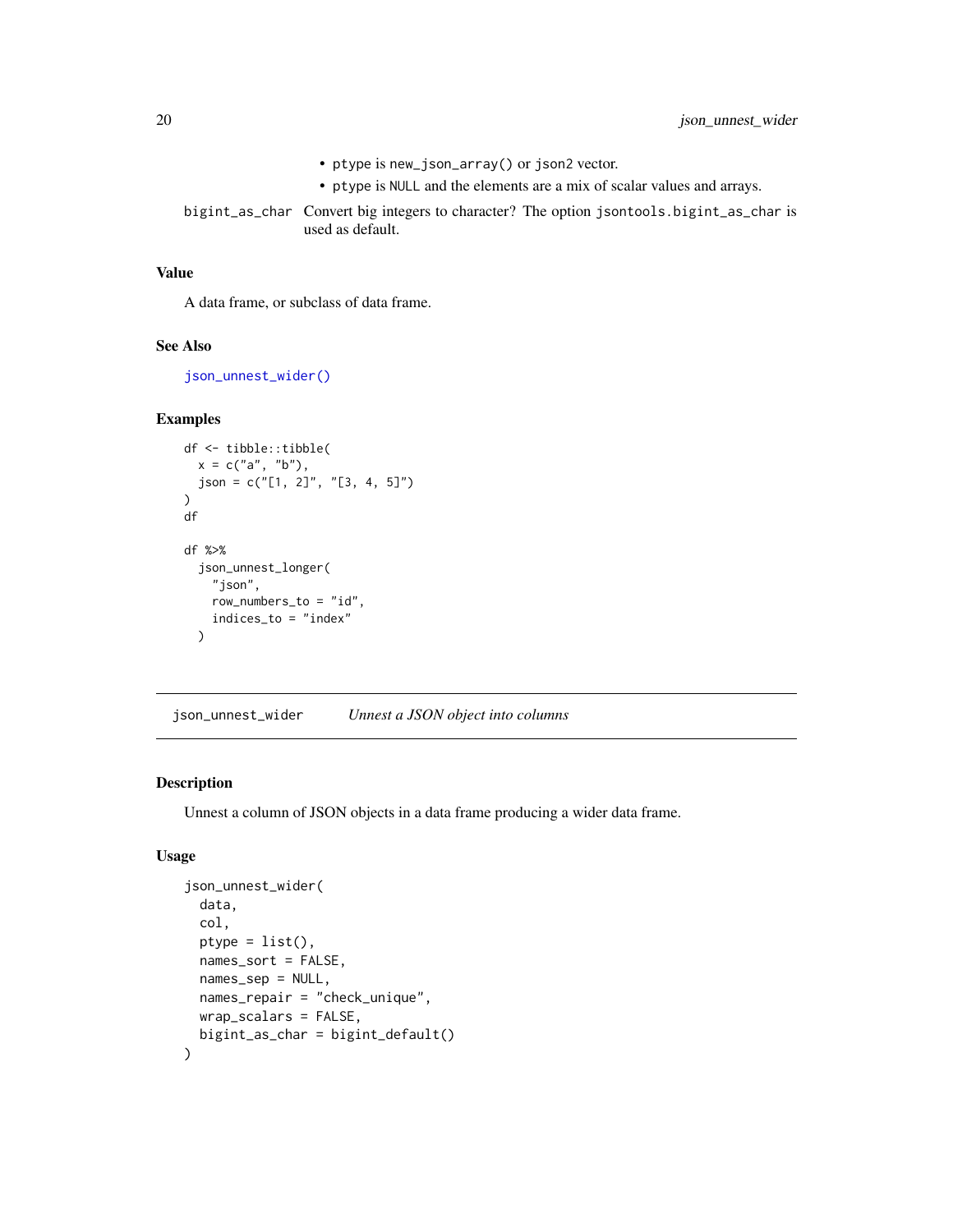- ptype is new\_json\_array() or json2 vector.
- ptype is NULL and the elements are a mix of scalar values and arrays.
- <span id="page-19-0"></span>bigint\_as\_char Convert big integers to character? The option jsontools.bigint\_as\_char is used as default.

#### Value

A data frame, or subclass of data frame.

#### See Also

[json\\_unnest\\_wider\(\)](#page-19-1)

## Examples

```
df <- tibble::tibble(
  x = c("a", "b"),
  json = c("[1, 2]", "[3, 4, 5]")
\mathcal{L}df
df %>%
  json_unnest_longer(
    "json",
    row_numbers_to = "id",
    indices_to = "index"
  )
```
<span id="page-19-1"></span>json\_unnest\_wider *Unnest a JSON object into columns*

## Description

Unnest a column of JSON objects in a data frame producing a wider data frame.

## Usage

```
json_unnest_wider(
 data,
  col,
 ptype = list(),names_sort = FALSE,
 names_sep = NULL,
 names_repair = "check_unique",
 wrap_scalars = FALSE,
 bigint_as_char = bigint_default()
)
```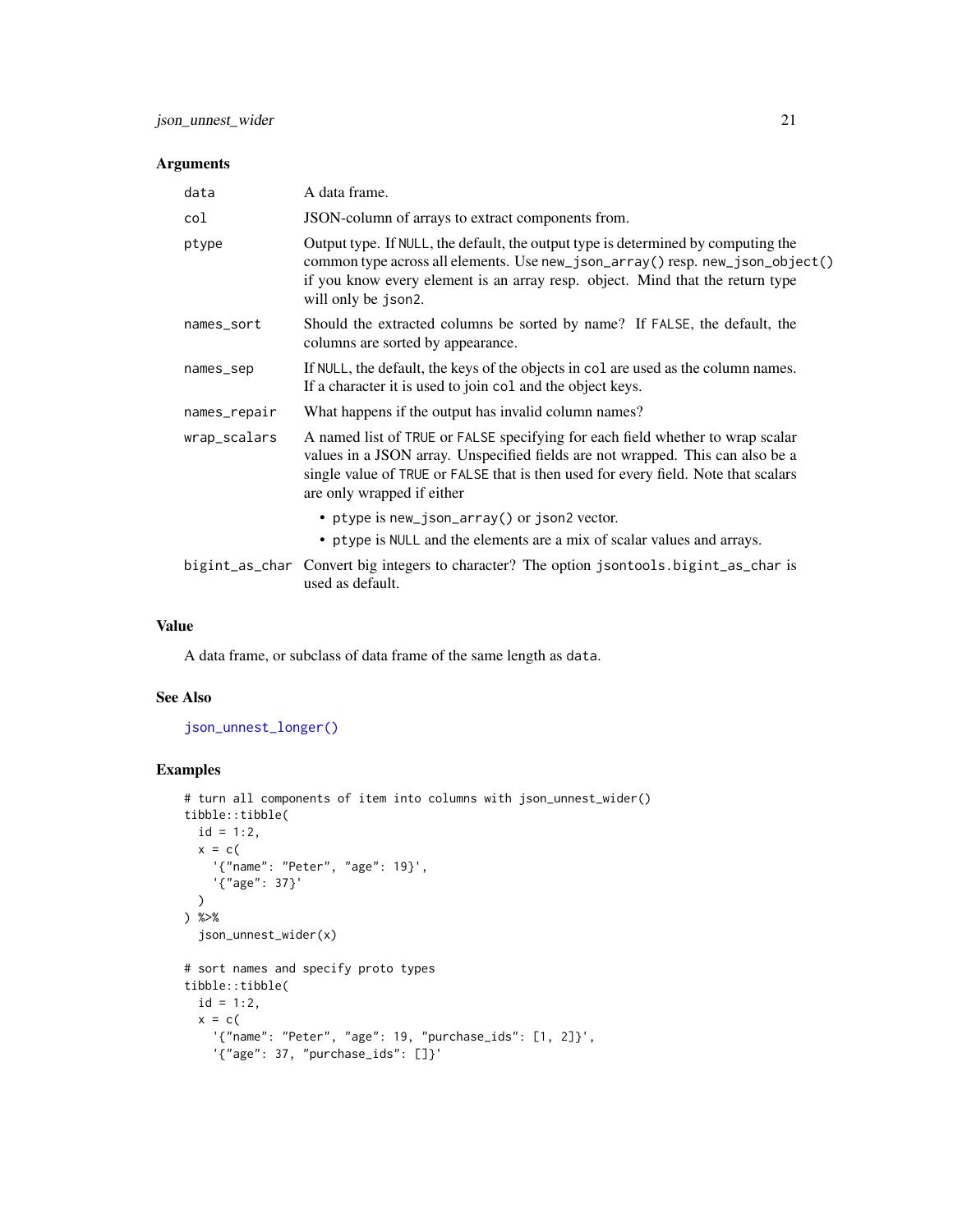#### <span id="page-20-0"></span>Arguments

| data         | A data frame.                                                                                                                                                                                                                                                                        |
|--------------|--------------------------------------------------------------------------------------------------------------------------------------------------------------------------------------------------------------------------------------------------------------------------------------|
| col          | JSON-column of arrays to extract components from.                                                                                                                                                                                                                                    |
| ptype        | Output type. If NULL, the default, the output type is determined by computing the<br>common type across all elements. Use new_json_array() resp. new_json_object()<br>if you know every element is an array resp. object. Mind that the return type<br>will only be json2.           |
| names_sort   | Should the extracted columns be sorted by name? If FALSE, the default, the<br>columns are sorted by appearance.                                                                                                                                                                      |
| names_sep    | If NULL, the default, the keys of the objects in col are used as the column names.<br>If a character it is used to join col and the object keys.                                                                                                                                     |
| names_repair | What happens if the output has invalid column names?                                                                                                                                                                                                                                 |
| wrap_scalars | A named list of TRUE or FALSE specifying for each field whether to wrap scalar<br>values in a JSON array. Unspecified fields are not wrapped. This can also be a<br>single value of TRUE or FALSE that is then used for every field. Note that scalars<br>are only wrapped if either |
|              | • ptype is new_json_array() or json2 vector.                                                                                                                                                                                                                                         |
|              | • ptype is NULL and the elements are a mix of scalar values and arrays.                                                                                                                                                                                                              |
|              | bigint_as_char Convert big integers to character? The option jsontools.bigint_as_char is<br>used as default.                                                                                                                                                                         |

## Value

A data frame, or subclass of data frame of the same length as data.

## See Also

## [json\\_unnest\\_longer\(\)](#page-18-1)

## Examples

```
# turn all components of item into columns with json_unnest_wider()
tibble::tibble(
 id = 1:2,x = c('{"name": "Peter", "age": 19}',
    '{"age": 37}'
  \mathcal{L}) %>%
  json_unnest_wider(x)
# sort names and specify proto types
tibble::tibble(
  id = 1:2,x = c('{"name": "Peter", "age": 19, "purchase_ids": [1, 2]}',
    '{"age": 37, "purchase_ids": []}'
```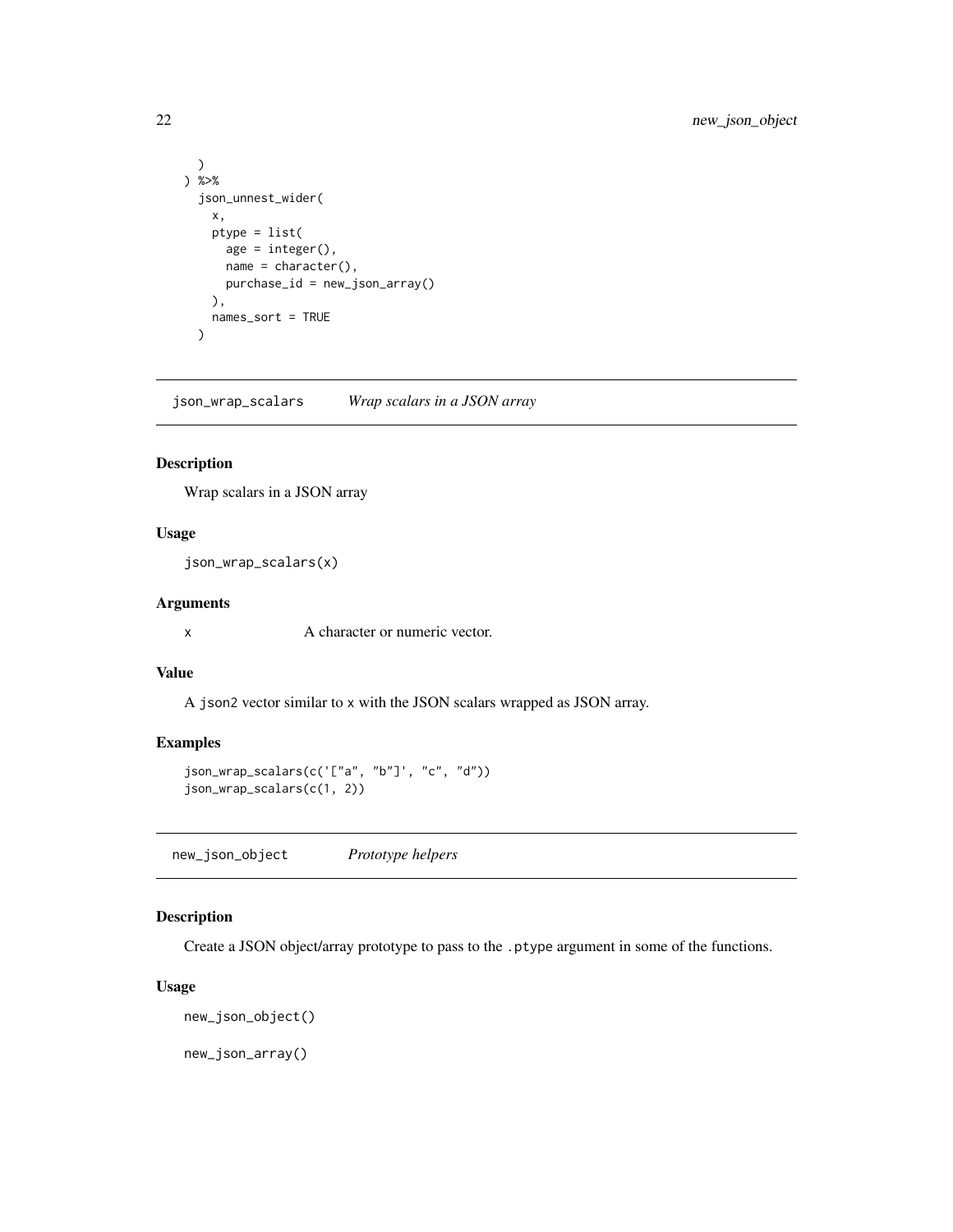```
\mathcal{L}) %>%
 json_unnest_wider(
   x,
   ptype = list(
      age = integer(),name = character(),
     purchase_id = new_json_array()
   ),
   names_sort = TRUE
 )
```
json\_wrap\_scalars *Wrap scalars in a JSON array*

#### Description

Wrap scalars in a JSON array

#### Usage

json\_wrap\_scalars(x)

## Arguments

x A character or numeric vector.

#### Value

A json2 vector similar to x with the JSON scalars wrapped as JSON array.

#### Examples

```
json_wrap_scalars(c('["a", "b"]', "c", "d"))
json_wrap_scalars(c(1, 2))
```
new\_json\_object *Prototype helpers*

## Description

Create a JSON object/array prototype to pass to the .ptype argument in some of the functions.

#### Usage

new\_json\_object()

new\_json\_array()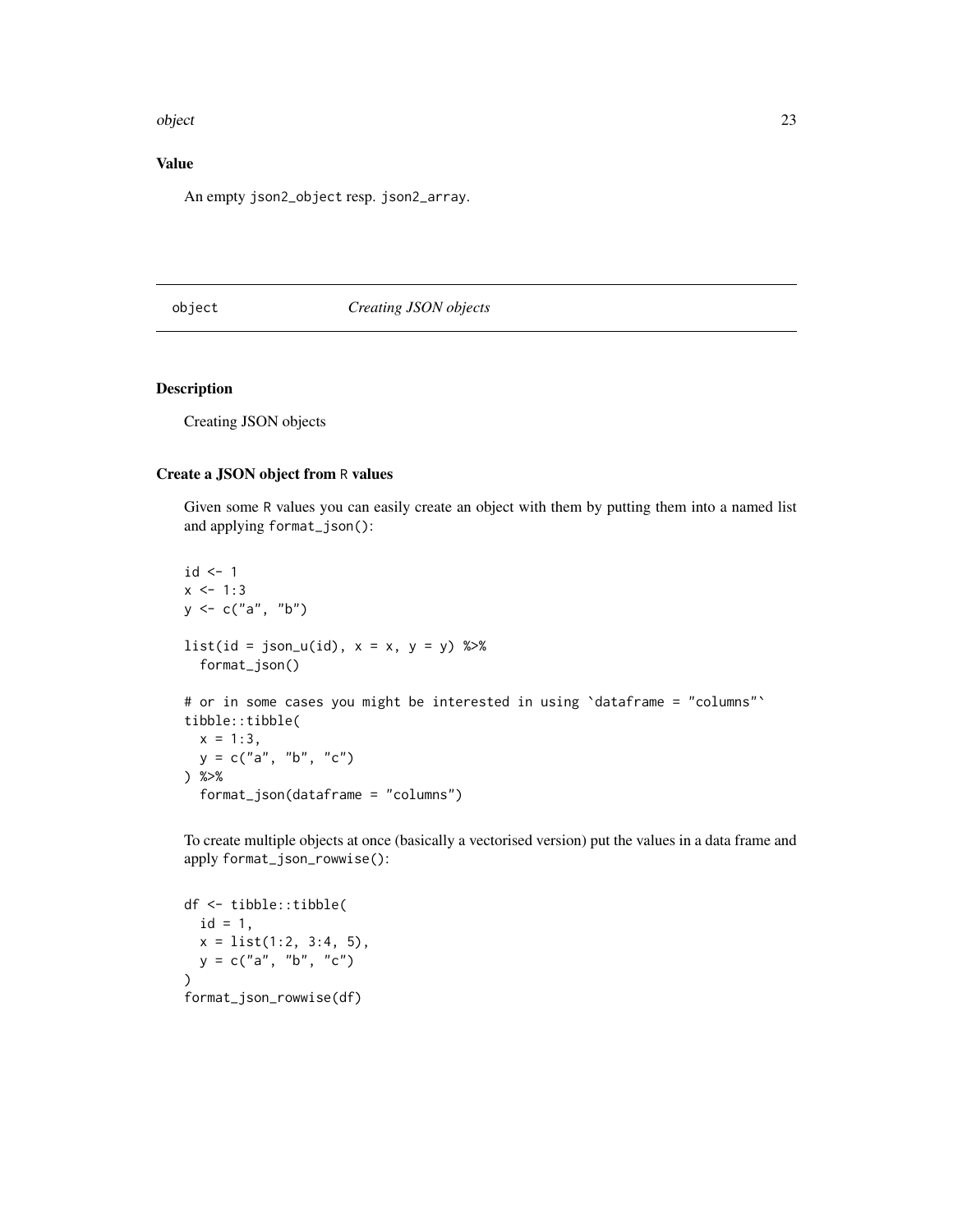#### <span id="page-22-0"></span>object 23

## Value

An empty json2\_object resp. json2\_array.

## object *Creating JSON objects*

### Description

Creating JSON objects

#### Create a JSON object from R values

Given some R values you can easily create an object with them by putting them into a named list and applying format\_json():

```
id \leftarrow 1x \le -1:3y \leq c("a", "b")list(id = json_u(id), x = x, y = y) %>%
  format_json()
# or in some cases you might be interested in using 'dataframe = "columns"'
tibble::tibble(
  x = 1:3,
  y = c("a", "b", "c")) %>%
  format_json(dataframe = "columns")
```
To create multiple objects at once (basically a vectorised version) put the values in a data frame and apply format\_json\_rowwise():

```
df <- tibble::tibble(
 id = 1,x = list(1:2, 3:4, 5),y = c("a", "b", "c"))
format_json_rowwise(df)
```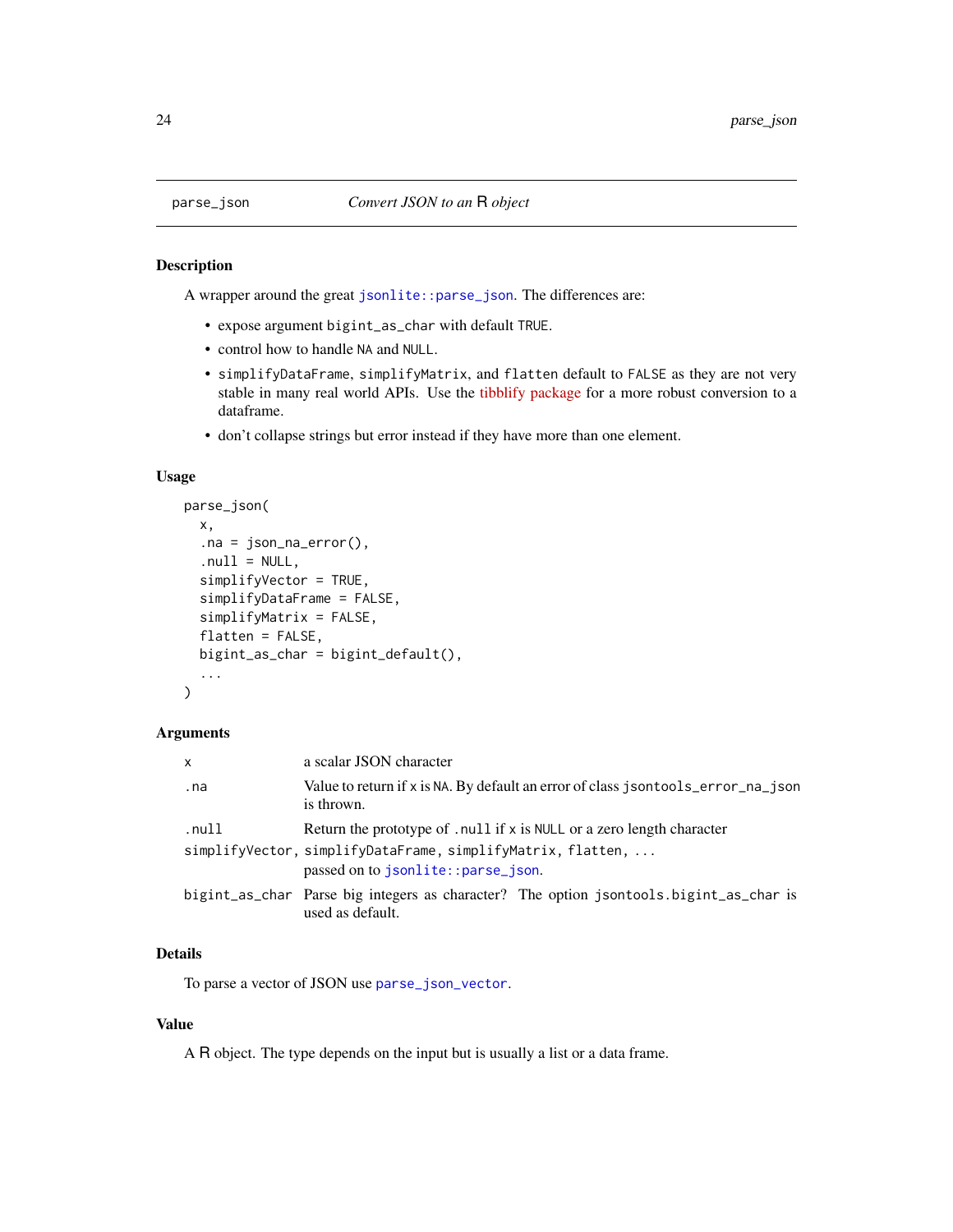<span id="page-23-1"></span><span id="page-23-0"></span>

A wrapper around the great [jsonlite::parse\\_json](#page-0-0). The differences are:

- expose argument bigint\_as\_char with default TRUE.
- control how to handle NA and NULL.
- simplifyDataFrame, simplifyMatrix, and flatten default to FALSE as they are not very stable in many real world APIs. Use the [tibblify package](https://cran.r-project.org/package=tibblify) for a more robust conversion to a dataframe.
- don't collapse strings but error instead if they have more than one element.

#### Usage

```
parse_json(
  x,
  .na = json_na_error(),
  null = NULL,simplifyVector = TRUE,
  simplifyDataFrame = FALSE,
  simplifyMatrix = FALSE,
  flatten = FALSE,
  bigint_as_char = bigint_default(),
  ...
\mathcal{E}
```
#### Arguments

| X     | a scalar JSON character                                                                                    |
|-------|------------------------------------------------------------------------------------------------------------|
| .na   | Value to return if x is NA. By default an error of class jsontools_error_na_json<br>is thrown.             |
| .null | Return the prototype of , null if $x$ is NULL or a zero length character                                   |
|       | simplifyVector, simplifyDataFrame, simplifyMatrix, flatten,<br>passed on to jsonlite::parse_json.          |
|       | bigint_as_char Parse big integers as character? The option jsontools.bigint_as_char is<br>used as default. |

## Details

To parse a vector of JSON use [parse\\_json\\_vector](#page-24-1).

## Value

A R object. The type depends on the input but is usually a list or a data frame.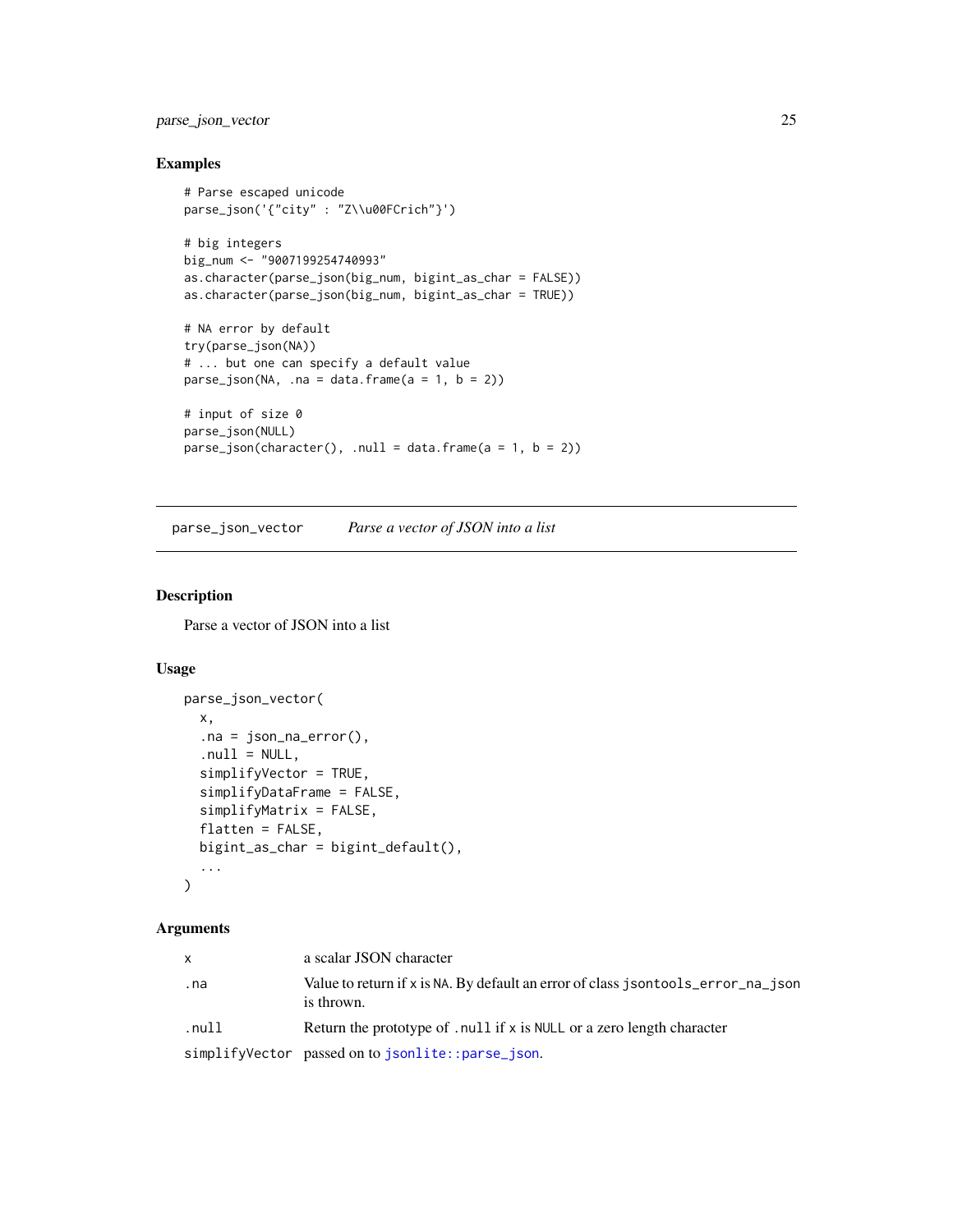## <span id="page-24-0"></span>parse\_json\_vector 25

## Examples

```
# Parse escaped unicode
parse_json('{"city" : "Z\\u00FCrich"}')
# big integers
big_num <- "9007199254740993"
as.character(parse_json(big_num, bigint_as_char = FALSE))
as.character(parse_json(big_num, bigint_as_char = TRUE))
# NA error by default
try(parse_json(NA))
# ... but one can specify a default value
parse_json(NA, .na = data.frame(a = 1, b = 2))# input of size 0
parse_json(NULL)
parse_json(character(), .null = data.frame(a = 1, b = 2))
```
<span id="page-24-1"></span>parse\_json\_vector *Parse a vector of JSON into a list*

#### Description

Parse a vector of JSON into a list

#### Usage

```
parse_json_vector(
  x,
  .na = json_na_error(),
  null = NULL,simplifyVector = TRUE,
  simplifyDataFrame = FALSE,
  simplifyMatrix = FALSE,
  flatten = FALSE,
 bigint_as_char = bigint_default(),
  ...
\mathcal{L}
```
#### Arguments

| x     | a scalar JSON character                                                                        |
|-------|------------------------------------------------------------------------------------------------|
| . na  | Value to return if x is NA. By default an error of class jsontools_error_na_json<br>is thrown. |
| .null | Return the prototype of , null if $x$ is NULL or a zero length character                       |
|       | simplifyVector passed on to jsonlite::parse_json.                                              |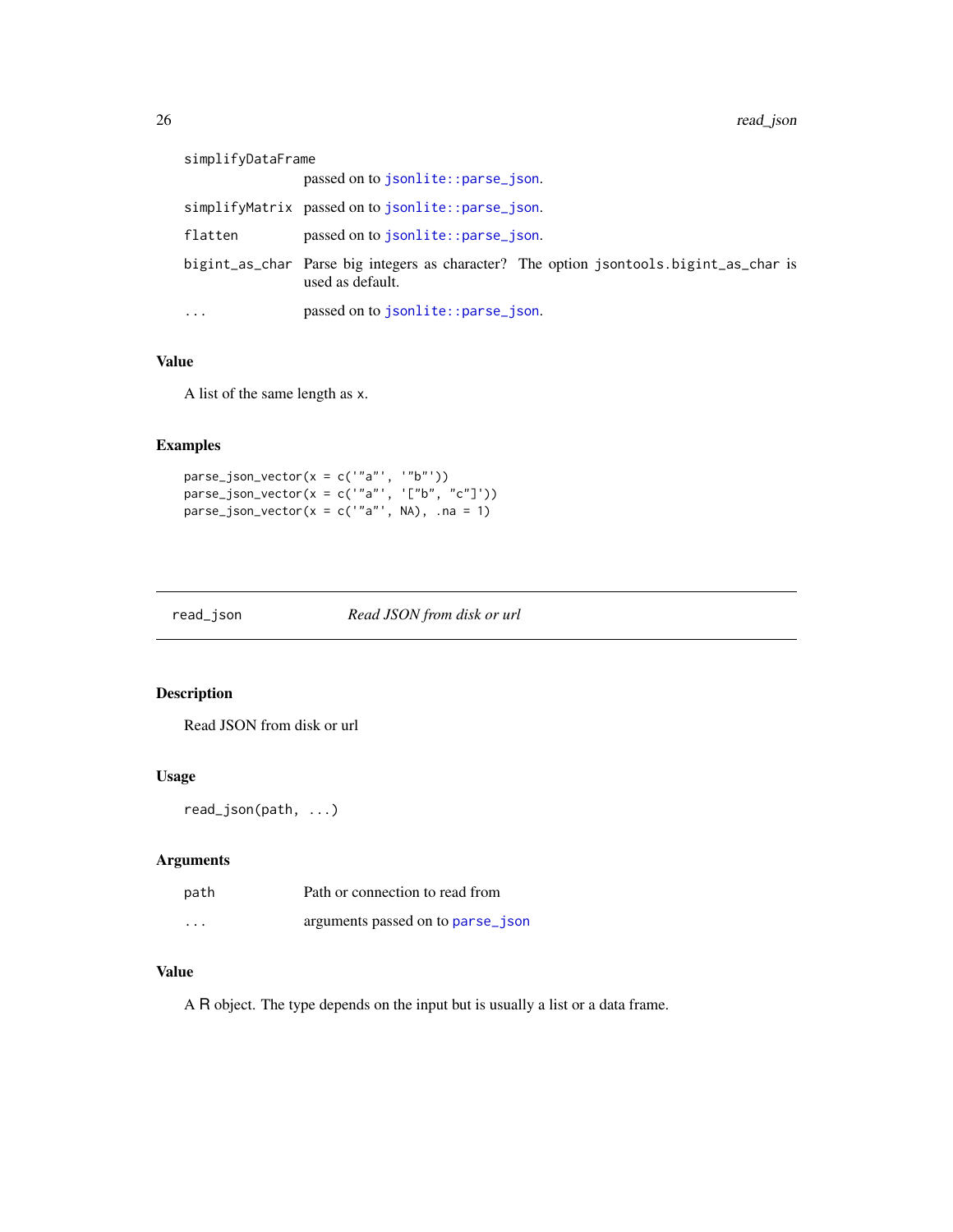<span id="page-25-0"></span>

| simplifyDataFrame       |                                                                                                            |
|-------------------------|------------------------------------------------------------------------------------------------------------|
|                         | passed on to isonlite::parse_json.                                                                         |
|                         | simplifyMatrix passed on to jsonlite::parse_json.                                                          |
| flatten                 | passed on to isonlite::parse_json.                                                                         |
|                         | bigint_as_char Parse big integers as character? The option jsontools.bigint_as_char is<br>used as default. |
| $\cdot$ $\cdot$ $\cdot$ | passed on to isonlite::parse_json.                                                                         |

#### Value

A list of the same length as x.

## Examples

```
parse_json\_vector(x = c('"a'', '"b''))parse_json_vector(x = c('"a"', '["b", "c"]'))
parse_json\_vector(x = c('"a"', NA), \text{ .}na = 1)
```
read\_json *Read JSON from disk or url*

## Description

Read JSON from disk or url

#### Usage

```
read_json(path, ...)
```
## Arguments

| path     | Path or connection to read from   |
|----------|-----------------------------------|
| $\cdots$ | arguments passed on to parse json |

## Value

A R object. The type depends on the input but is usually a list or a data frame.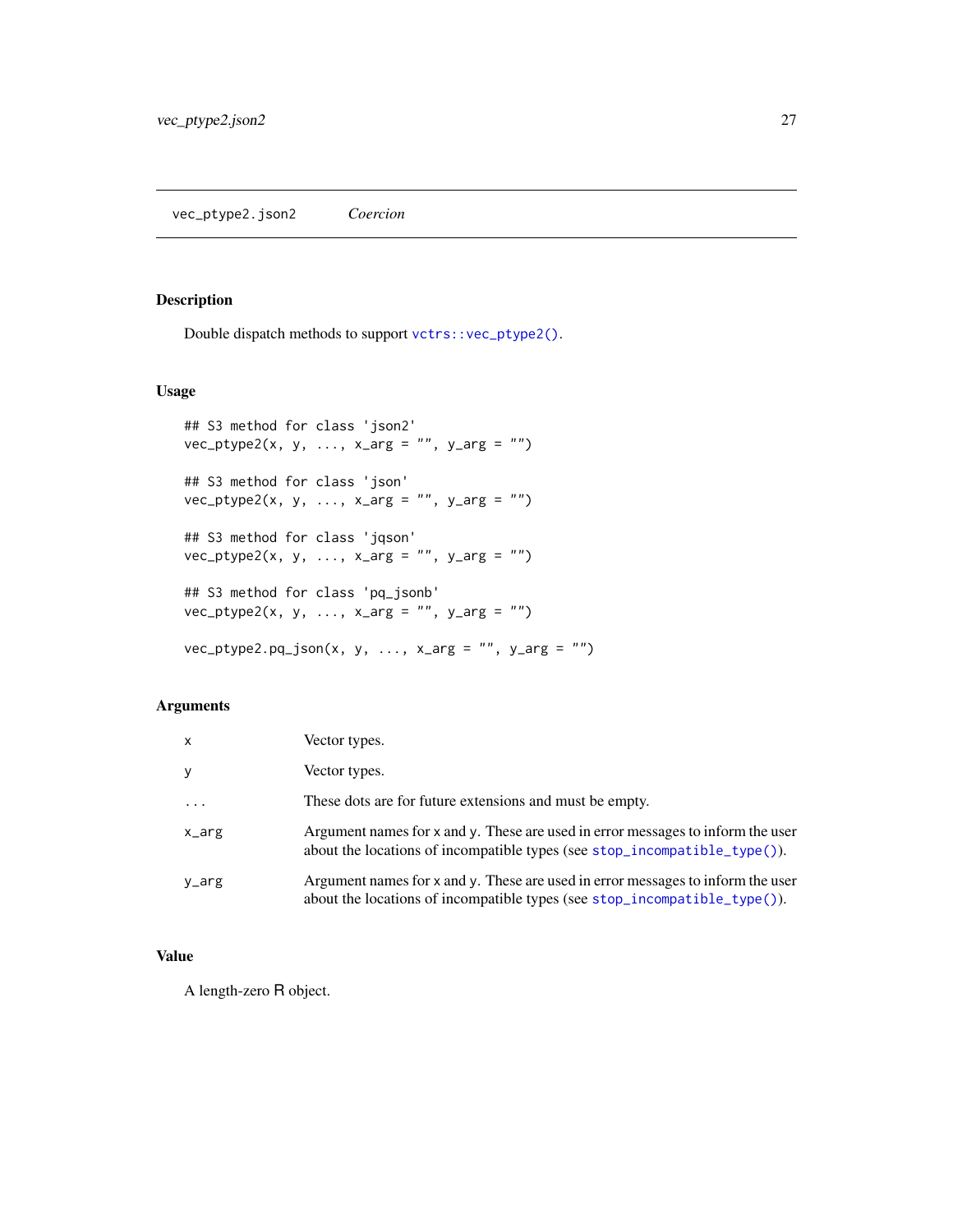<span id="page-26-0"></span>Double dispatch methods to support [vctrs::vec\\_ptype2\(\)](#page-0-0).

## Usage

```
## S3 method for class 'json2'
vec_ptype2(x, y, ..., x_{\text{arg}} = "", y_{\text{arg}} = "")## S3 method for class 'json'
vec_ptype2(x, y, ..., x_{\text{arg}} = "", y_{\text{arg}} = "")## S3 method for class 'jqson'
vec_ptype2(x, y, ..., x_{arg} = "", y_{arg} = "")## S3 method for class 'pq_jsonb'
vec_ptype2(x, y, ..., x_{arg} = "", y_{arg} = "")vec_ptype2.pq_json(x, y, ..., x_arg = "", y_arg = "")
```
## Arguments

| $\mathsf{x}$ | Vector types.                                                                                                                                                |
|--------------|--------------------------------------------------------------------------------------------------------------------------------------------------------------|
| У            | Vector types.                                                                                                                                                |
| $\ddots$ .   | These dots are for future extensions and must be empty.                                                                                                      |
| x_arg        | Argument names for x and y. These are used in error messages to inform the user<br>about the locations of incompatible types (see stop_incompatible_type()). |
| y_arg        | Argument names for x and y. These are used in error messages to inform the user<br>about the locations of incompatible types (see stop_incompatible_type()). |

#### Value

A length-zero R object.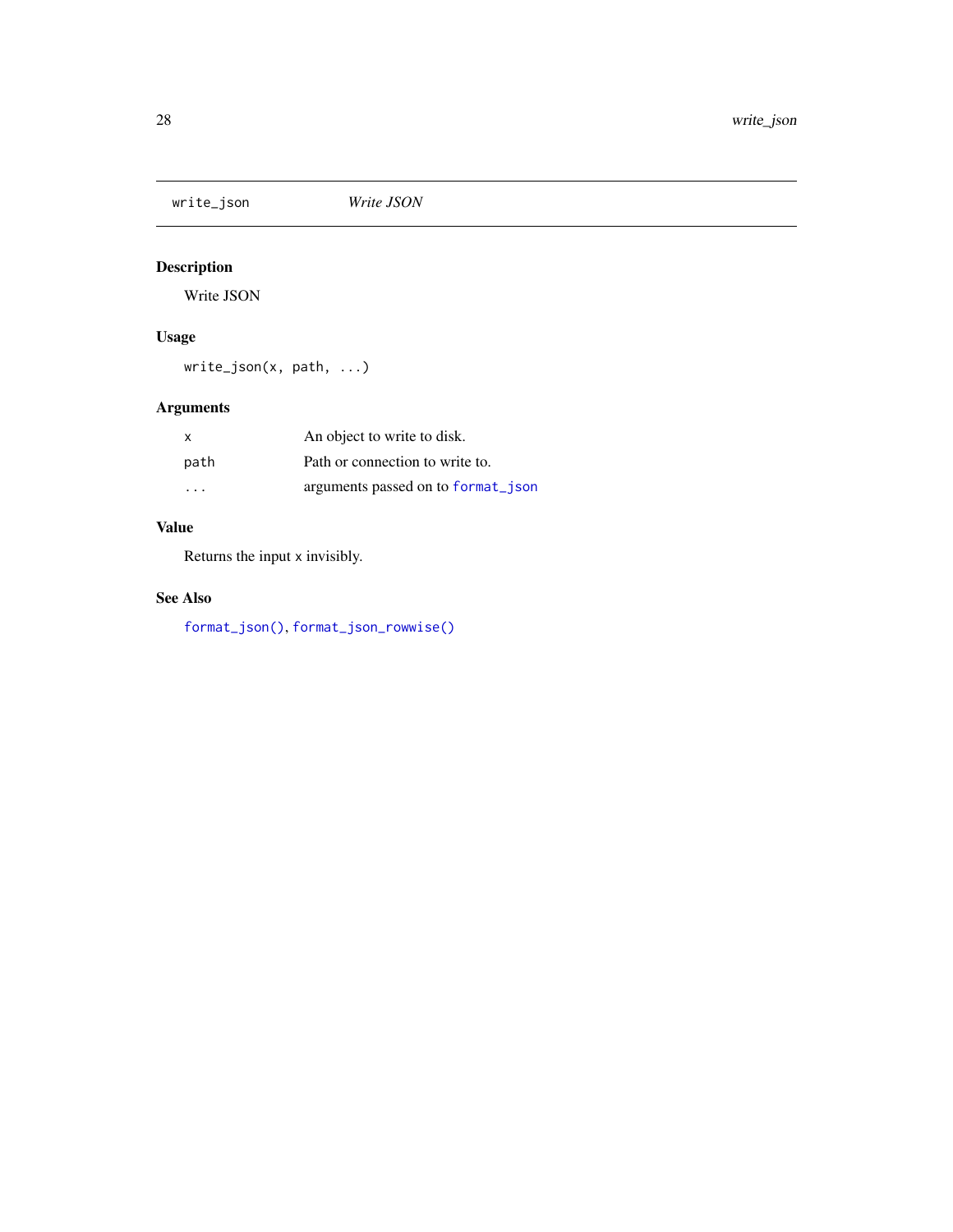<span id="page-27-1"></span><span id="page-27-0"></span>write\_json *Write JSON*

# Description

Write JSON

## Usage

write\_json(x, path, ...)

# Arguments

| X                       | An object to write to disk.        |
|-------------------------|------------------------------------|
| path                    | Path or connection to write to.    |
| $\cdot$ $\cdot$ $\cdot$ | arguments passed on to format ison |

## Value

Returns the input x invisibly.

## See Also

[format\\_json\(\)](#page-1-1), [format\\_json\\_rowwise\(\)](#page-4-1)